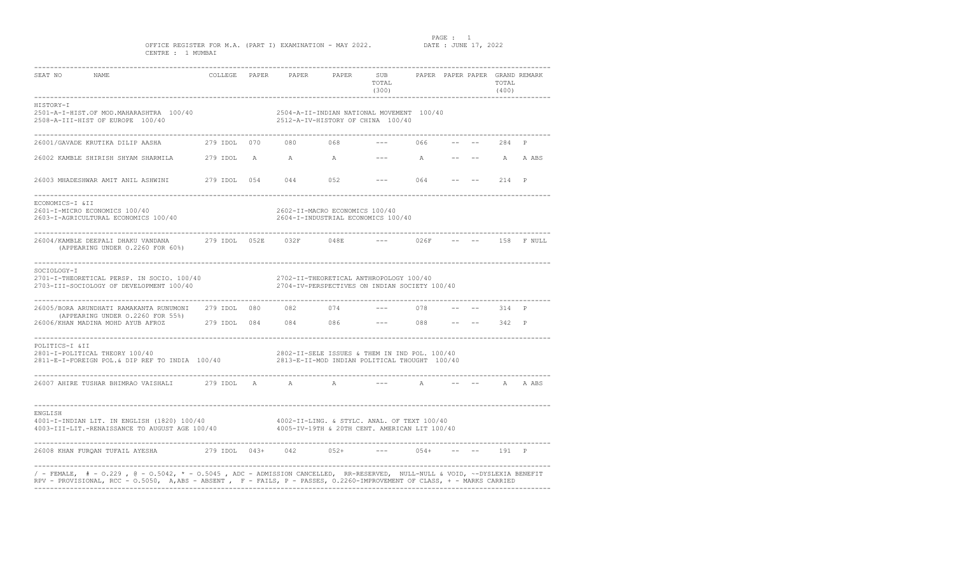PAGE : 1<br>DATE : JUNE 17, 2022

### OFFICE REGISTER FOR M.A. (PART I) EXAMINATION - MAY 2022. CENTRE : 1 MUMBAI

| SEAT NO NAME                                                                                                                                                                                                                                          |                               | COLLEGE PAPER PAPER PAPER                                                                    | SUB PAPER PAPER PAPER GRAND REMARK<br>TOTAL<br>(300) |             |  | TOTAL<br>(400) |            |
|-------------------------------------------------------------------------------------------------------------------------------------------------------------------------------------------------------------------------------------------------------|-------------------------------|----------------------------------------------------------------------------------------------|------------------------------------------------------|-------------|--|----------------|------------|
| HISTORY-I<br>2501-A-I-HIST.OF MOD.MAHARASHTRA 100/40<br>2508-A-III-HIST OF EUROPE 100/40                                                                                                                                                              |                               | 2504-A-II-INDIAN NATIONAL MOVEMENT 100/40<br>2512-A-IV-HISTORY OF CHINA 100/40               |                                                      |             |  |                |            |
| 26001/GAVADE KRUTIKA DILIP AASHA                                                                                                                                                                                                                      |                               | 279 IDOL 070 080 068                                                                         |                                                      | 066         |  | $--- 284 P$    |            |
|                                                                                                                                                                                                                                                       |                               |                                                                                              |                                                      |             |  |                |            |
|                                                                                                                                                                                                                                                       |                               |                                                                                              |                                                      |             |  |                |            |
| ECONOMICS-I &II<br>2601-I-MICRO ECONOMICS 100/40<br>2603-I-AGRICULTURAL ECONOMICS 100/40                                                                                                                                                              |                               | 2602-II-MACRO ECONOMICS 100/40<br>2604-I-INDUSTRIAL ECONOMICS 100/40                         |                                                      |             |  |                |            |
| 26004/KAMBLE DEEPALI DHAKU VANDANA<br>(APPEARING UNDER 0.2260 FOR 60%)                                                                                                                                                                                | 279 IDOL 052E 032F 048E       |                                                                                              |                                                      | 026F        |  |                | 158 F NULL |
| SOCIOLOGY-I<br>2701-I-THEORETICAL PERSP. IN SOCIO. 100/40<br>2703-III-SOCIOLOGY OF DEVELOPMENT 100/40                                                                                                                                                 | _____________________________ | 2702-II-THEORETICAL ANTHROPOLOGY 100/40<br>2704-IV-PERSPECTIVES ON INDIAN SOCIETY 100/40     |                                                      |             |  |                |            |
| ---------------------------------<br>26005/BORA ARUNDHATI RAMAKANTA RUNUMONI 279 IDOL 080<br>(APPEARING UNDER 0.2260 FOR 55%)                                                                                                                         |                               | 082 074                                                                                      |                                                      | 078         |  | 314 P          |            |
|                                                                                                                                                                                                                                                       |                               |                                                                                              |                                                      |             |  |                |            |
| POLITICS-I &II<br>2801-I-POLITICAL THEORY 100/40<br>2811-E-I-FOREIGN POL.& DIP REF TO INDIA 100/40 2813-E-II-MOD INDIAN POLITICAL THOUGHT 100/40                                                                                                      |                               | 2802-II-SELE ISSUES & THEM IN IND POL. 100/40                                                |                                                      |             |  |                |            |
| 26007 AHIRE TUSHAR BHIMRAO VAISHALI 279 IDOL A A A A A                                                                                                                                                                                                | -----------------             |                                                                                              |                                                      | $\mathbb A$ |  | $--- A A ABS$  |            |
| ENGLISH<br>4001-I-INDIAN LIT. IN ENGLISH (1820) 100/40<br>4003-III-LIT.-RENAISSANCE TO AUGUST AGE 100/40                                                                                                                                              |                               | 4002-II-LING. & STYLC. ANAL. OF TEXT 100/40<br>4005-IV-19TH & 20TH CENT. AMERICAN LIT 100/40 |                                                      |             |  |                |            |
| 26008 KHAN FURQAN TUFAIL AYESHA 279 IDOL 043+ 042 052+                                                                                                                                                                                                |                               |                                                                                              | $--- 054+$                                           |             |  | $- --$ 191 P   |            |
| / - FEMALE, # - 0.229, @ - 0.5042, * - 0.5045, ADC - ADMISSION CANCELLED, RR-RESERVED, NULL-NULL & VOID, ~-DYSLEXIA BENEFIT<br>RPV - PROVISIONAL, RCC - 0.5050, A,ABS - ABSENT, F - FAILS, P - PASSES, 0.2260-IMPROVEMENT OF CLASS, + - MARKS CARRIED |                               |                                                                                              |                                                      |             |  |                |            |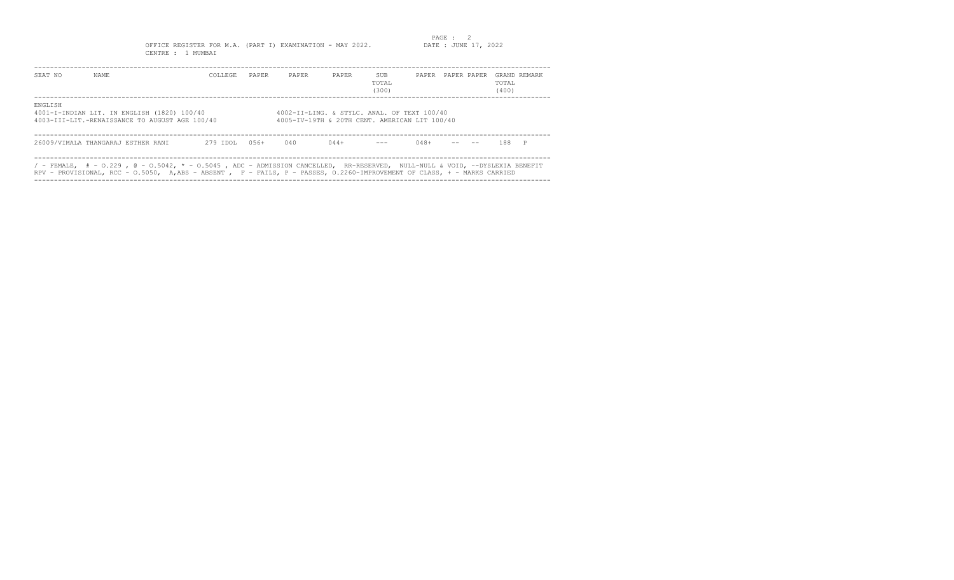OFFICE REGISTER FOR M.A. (PART I) EXAMINATION - MAY 2022. CENTRE : 1 MUMBAI

| SEAT NO | NAME.                                                                                                                                                                                                                                                      | COLLEGE. | PAPER   | PAPER                                                                                        | PAPER  | SUB<br>TOTAL<br>(300) | PAPER PAPER PAPER |  | TOTAL.<br>(400) | GRAND REMARK |
|---------|------------------------------------------------------------------------------------------------------------------------------------------------------------------------------------------------------------------------------------------------------------|----------|---------|----------------------------------------------------------------------------------------------|--------|-----------------------|-------------------|--|-----------------|--------------|
| ENGLISH | 4001-I-INDIAN LIT. IN ENGLISH (1820) 100/40<br>4003-III-LIT.-RENAISSANCE TO AUGUST AGE 100/40                                                                                                                                                              |          |         | 4002-II-LING. & STYLC. ANAL. OF TEXT 100/40<br>4005-IV-19TH & 20TH CENT. AMERICAN LIT 100/40 |        |                       |                   |  |                 |              |
|         | 26009/VIMALA THANGARAJ ESTHER RANI                                                                                                                                                                                                                         | 279 IDOL | $0.56+$ | 040                                                                                          | $044+$ |                       | $048+$            |  | 188 P           |              |
|         | / - FEMALE, $#$ - 0.229 , @ - 0.5042, * - 0.5045 , ADC - ADMISSION CANCELLED, RR-RESERVED, NULL-NULL & VOID, ~-DYSLEXIA BENEFIT<br>RPV - PROVISIONAL, RCC - 0.5050, A,ABS - ABSENT , F - FAILS, P - PASSES, 0.2260-IMPROVEMENT OF CLASS, + - MARKS CARRIED |          |         |                                                                                              |        |                       |                   |  |                 |              |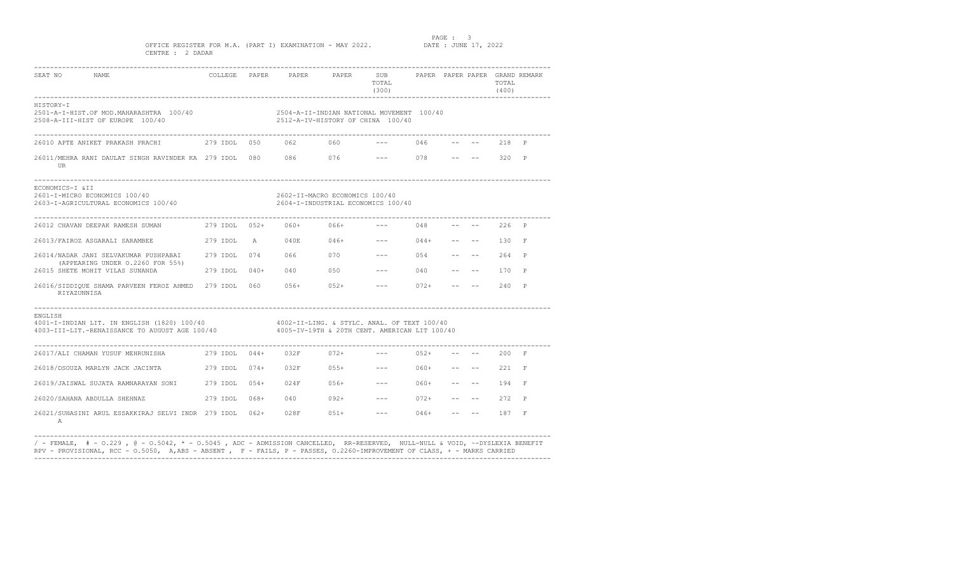PAGE : 3<br>DATE : JUNE 17, 2022

OFFICE REGISTER FOR M.A. (PART I) EXAMINATION - MAY 2022. CENTRE : 2 DADAR

| SEAT NO<br>NAME                                                                                                                                        |               |                         | COLLEGE PAPER PAPER PAPER SUB PAPER PAPER PAPER GRAND REMARK                   | TOTAL<br>(300)                                                                                                                                                                                                                                                                                                                                                                                                                                                             |        |       |                                                                                                                                                                                                                                                                                                                                                                                                                                                                                                                          | TOTAL<br>(400) |              |
|--------------------------------------------------------------------------------------------------------------------------------------------------------|---------------|-------------------------|--------------------------------------------------------------------------------|----------------------------------------------------------------------------------------------------------------------------------------------------------------------------------------------------------------------------------------------------------------------------------------------------------------------------------------------------------------------------------------------------------------------------------------------------------------------------|--------|-------|--------------------------------------------------------------------------------------------------------------------------------------------------------------------------------------------------------------------------------------------------------------------------------------------------------------------------------------------------------------------------------------------------------------------------------------------------------------------------------------------------------------------------|----------------|--------------|
| HISTORY-I<br>2501-A-I-HIST.OF MOD.MAHARASHTRA 100/40<br>2508-A-III-HIST OF EUROPE 100/40                                                               |               |                         | 2504-A-II-INDIAN NATIONAL MOVEMENT 100/40<br>2512-A-IV-HISTORY OF CHINA 100/40 |                                                                                                                                                                                                                                                                                                                                                                                                                                                                            |        |       |                                                                                                                                                                                                                                                                                                                                                                                                                                                                                                                          |                |              |
|                                                                                                                                                        |               |                         |                                                                                | $--- 046$                                                                                                                                                                                                                                                                                                                                                                                                                                                                  |        |       |                                                                                                                                                                                                                                                                                                                                                                                                                                                                                                                          | 218 P          |              |
| 26011/MEHRA RANI DAULAT SINGH RAVINDER KA 279 IDOL 080 086 076<br>UR                                                                                   |               |                         |                                                                                | $--- 078$                                                                                                                                                                                                                                                                                                                                                                                                                                                                  |        | $- -$ |                                                                                                                                                                                                                                                                                                                                                                                                                                                                                                                          | 320 P          |              |
| ECONOMICS-I &II<br>2601-I-MICRO ECONOMICS 100/40<br>2603-I-AGRICULTURAL ECONOMICS 100/40                                                               |               |                         | 2602-II-MACRO ECONOMICS 100/40<br>2604-I-INDUSTRIAL ECONOMICS 100/40           |                                                                                                                                                                                                                                                                                                                                                                                                                                                                            |        |       |                                                                                                                                                                                                                                                                                                                                                                                                                                                                                                                          |                |              |
| 26012 CHAVAN DEEPAK RAMESH SUMAN                                                                                                                       |               | 279 IDOL 052+ 060+ 066+ |                                                                                | $--- 048$                                                                                                                                                                                                                                                                                                                                                                                                                                                                  |        |       |                                                                                                                                                                                                                                                                                                                                                                                                                                                                                                                          | $- --$ 226 P   |              |
| 26013/FAIROZ ASGARALI SARAMBEE                                                                                                                         |               |                         | 279 IDOL A 040E 046+                                                           | $--- 044+ --- --- 130 F$                                                                                                                                                                                                                                                                                                                                                                                                                                                   |        |       |                                                                                                                                                                                                                                                                                                                                                                                                                                                                                                                          |                |              |
| 26014/NADAR JANI SELVAKUMAR PUSHPABAI 279 IDOL 074 066 070                                                                                             |               |                         |                                                                                | $--- 054$                                                                                                                                                                                                                                                                                                                                                                                                                                                                  |        |       | and the company of the state of the                                                                                                                                                                                                                                                                                                                                                                                                                                                                                      | 264 P          |              |
| (APPEARING UNDER 0.2260 FOR 55%)<br>26015 SHETE MOHIT VILAS SUNANDA                                                                                    | 279 IDOL 040+ |                         | 040 050                                                                        | $--- 040$                                                                                                                                                                                                                                                                                                                                                                                                                                                                  |        |       | and the company of the company                                                                                                                                                                                                                                                                                                                                                                                                                                                                                           | 170 P          |              |
| 26016/SIDDIQUE SHAMA PARVEEN FEROZ AHMED 279 IDOL 060 056+ 052+<br>RIYAZUNNISA                                                                         |               |                         |                                                                                | $--- 072+$                                                                                                                                                                                                                                                                                                                                                                                                                                                                 |        |       | $\sim$ $ -$                                                                                                                                                                                                                                                                                                                                                                                                                                                                                                              | 240            | $\mathbb{P}$ |
| ENGLISH<br>4001-I-INDIAN LIT. IN ENGLISH (1820) 100/40<br>4003-III-LIT.-RENAISSANCE TO AUGUST AGE 100/40 4005-IV-19TH & 20TH CENT. AMERICAN LIT 100/40 |               |                         | 4002-II-LING. & STYLC. ANAL. OF TEXT 100/40                                    |                                                                                                                                                                                                                                                                                                                                                                                                                                                                            |        |       |                                                                                                                                                                                                                                                                                                                                                                                                                                                                                                                          |                |              |
|                                                                                                                                                        |               |                         |                                                                                | $--- 052+$                                                                                                                                                                                                                                                                                                                                                                                                                                                                 |        |       |                                                                                                                                                                                                                                                                                                                                                                                                                                                                                                                          | $--$ 200 F     |              |
| 26018/DSOUZA MARLYN JACK JACINTA  279 IDOL  074+  032F  055+                                                                                           |               |                         |                                                                                | $--- 060+ --- ---$                                                                                                                                                                                                                                                                                                                                                                                                                                                         |        |       |                                                                                                                                                                                                                                                                                                                                                                                                                                                                                                                          | $221$ F        |              |
| 26019/JAISWAL SUJATA RAMNARAYAN SONI            279 IDOL    054+       024F          056+                                                              |               |                         |                                                                                | $--- 060+$                                                                                                                                                                                                                                                                                                                                                                                                                                                                 |        |       | $\begin{tabular}{lllllllllll} \toprule & $\mathcal{P}$ & $\mathcal{P}$ & $\mathcal{P}$ & $\mathcal{P}$ & $\mathcal{P}$ \\ \multicolumn{3}{l}{} & $\mathcal{P}$ & $\mathcal{P}$ & $\mathcal{P}$ & $\mathcal{P}$ & $\mathcal{P}$ & $\mathcal{P}$ \\ \multicolumn{3}{l}{} & $\mathcal{P}$ & $\mathcal{P}$ & $\mathcal{P}$ & $\mathcal{P}$ & $\mathcal{P}$ & $\mathcal{P}$ & $\mathcal{P}$ \\ \multicolumn{3}{l}{} & $\mathcal{P}$ & $\mathcal{P}$ & $\mathcal{P}$ & $\mathcal{P}$ & $\mathcal{P}$ & $\mathcal{P}$ & $\math$ | 194            | $\mathbf{F}$ |
| 26020/SAHANA ABDULLA SHEHNAZ<br>279 IDOL 068+                                                                                                          |               |                         | $040$ $092+$                                                                   | $--- 072+$                                                                                                                                                                                                                                                                                                                                                                                                                                                                 |        |       |                                                                                                                                                                                                                                                                                                                                                                                                                                                                                                                          | 272            | P            |
| 26021/SUHASINI ARUL ESSAKKIRAJ SELVI INDR 279 IDOL 062+ 028F<br>Α                                                                                      |               |                         | $051+$                                                                         | $\frac{1}{2} \left( \frac{1}{2} \right) \left( \frac{1}{2} \right) \left( \frac{1}{2} \right) \left( \frac{1}{2} \right) \left( \frac{1}{2} \right) \left( \frac{1}{2} \right) \left( \frac{1}{2} \right) \left( \frac{1}{2} \right) \left( \frac{1}{2} \right) \left( \frac{1}{2} \right) \left( \frac{1}{2} \right) \left( \frac{1}{2} \right) \left( \frac{1}{2} \right) \left( \frac{1}{2} \right) \left( \frac{1}{2} \right) \left( \frac{1}{2} \right) \left( \frac$ | $046+$ |       | -- --                                                                                                                                                                                                                                                                                                                                                                                                                                                                                                                    | 187            | $\mathbf{F}$ |

---------------------------------------------------------------------------------------------------------------------------------- / - FEMALE, # - O.229 , @ - O.5042, \* - O.5045 , ADC - ADMISSION CANCELLED, RR-RESERVED, NULL-NULL & VOID, ~-DYSLEXIA BENEFIT RPV - PROVISIONAL, RCC - O.5050, A,ABS - ABSENT , F - FAILS, P - PASSES, O.2260-IMPROVEMENT OF CLASS, + - MARKS CARRIED ----------------------------------------------------------------------------------------------------------------------------------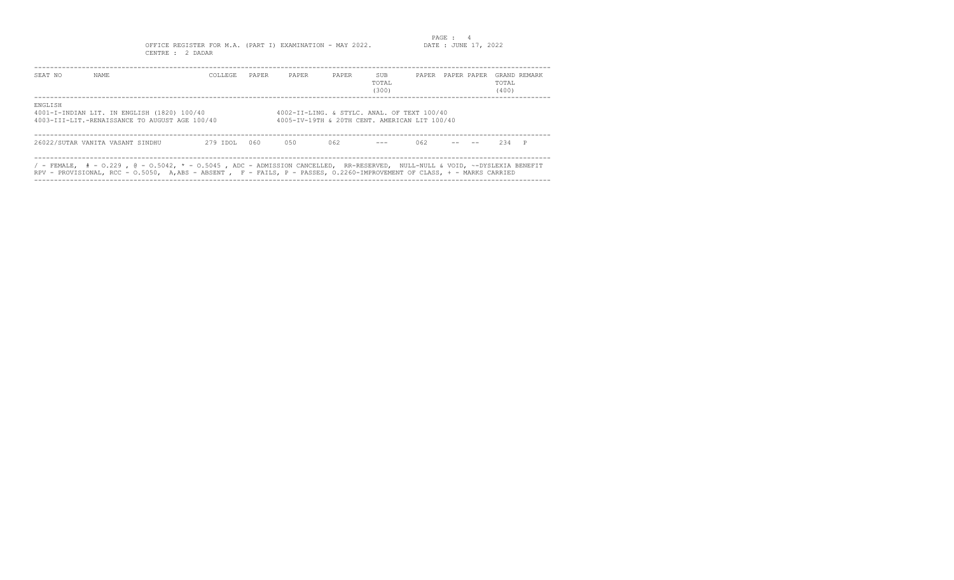PAGE : 4<br>DATE : JUNE 17, 2022 OFFICE REGISTER FOR M.A. (PART I) EXAMINATION - MAY 2022. CENTRE : 2 DADAR

| SEAT NO | NAME.                                                                                                                                                                                                                                                     | COLLEGE. | PAPER | PAPER                                                                                        | PAPER | SUB<br>TOTAL<br>(300) | PAPER | PAPER PAPER | GRAND REMARK<br>TOTAL<br>(400) |  |
|---------|-----------------------------------------------------------------------------------------------------------------------------------------------------------------------------------------------------------------------------------------------------------|----------|-------|----------------------------------------------------------------------------------------------|-------|-----------------------|-------|-------------|--------------------------------|--|
| ENGLISH | 4001-I-INDIAN LIT. IN ENGLISH (1820) 100/40<br>4003-III-LIT.-RENAISSANCE TO AUGUST AGE 100/40                                                                                                                                                             |          |       | 4002-II-LING. & STYLC. ANAL. OF TEXT 100/40<br>4005-IV-19TH & 20TH CENT. AMERICAN LIT 100/40 |       |                       |       |             |                                |  |
|         | 26022/SUTAR VANITA VASANT SINDHU                                                                                                                                                                                                                          | 279 IDOL | 060   | 0.50                                                                                         | 062   | $\frac{1}{2}$         | 062   |             | 234 P                          |  |
|         | / - FEMALE, $#$ - 0.229 , @ - 0.5042, * - 0.5045 , ADC - ADMISSION CANCELLED, RR-RESERVED, NULL-NULL & VOID, ~-DYSLEXIA BENEFIT<br>RPV - PROVISIONAL, RCC - 0.5050, A,ABS - ABSENT, F - FAILS, P - PASSES, 0.2260-IMPROVEMENT OF CLASS, + - MARKS CARRIED |          |       |                                                                                              |       |                       |       |             |                                |  |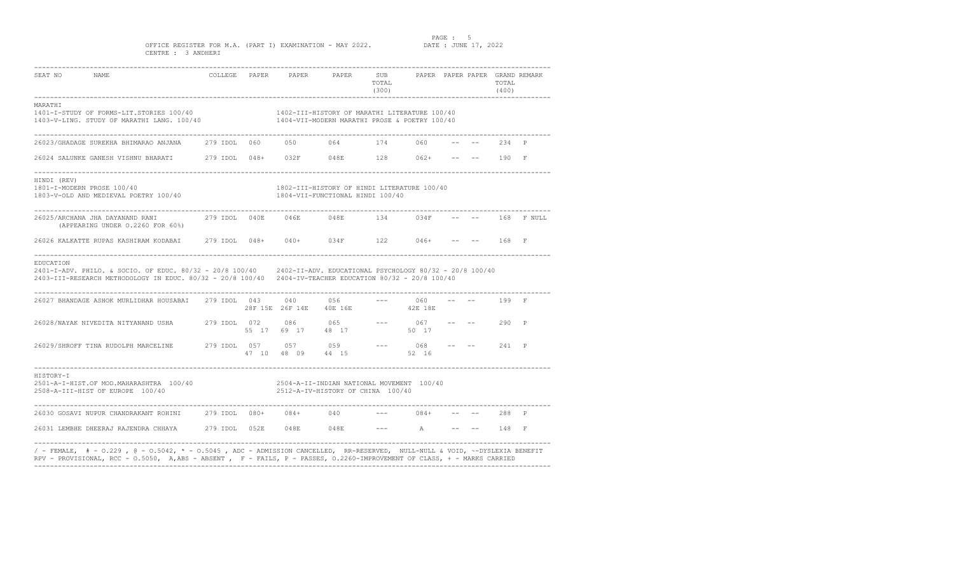PAGE : 5<br>DATE : JUNE 17, 2022

OFFICE REGISTER FOR M.A. (PART I) EXAMINATION - MAY 2022. CENTRE : 3 ANDHERI

| SEAT NO NAME                                                                                                                                                                                                                                                                                                                                                                                                                                                                                                                 |  |                                                      | TOTAL<br>(300)       |  | TOTAL<br>(400)<br>----------------------- |                  |
|------------------------------------------------------------------------------------------------------------------------------------------------------------------------------------------------------------------------------------------------------------------------------------------------------------------------------------------------------------------------------------------------------------------------------------------------------------------------------------------------------------------------------|--|------------------------------------------------------|----------------------|--|-------------------------------------------|------------------|
| MARATHI<br>1401-I-STUDY OF FORMS-LIT.STORIES 100/40<br>1403-V-LING. STUDY OF MARATHI LANG. 100/40 1404-VII-MODERN MARATHI PROSE & POETRY 100/40                                                                                                                                                                                                                                                                                                                                                                              |  | 1402-III-HISTORY OF MARATHI LITERATURE 100/40        |                      |  |                                           |                  |
| 26023/GHADAGE SUREKHA BHIMARAO ANJANA        279 IDOL    060         050            064            174          060                                                                                                                                                                                                                                                                                                                                                                                                          |  |                                                      |                      |  | -- -- 234 P                               |                  |
|                                                                                                                                                                                                                                                                                                                                                                                                                                                                                                                              |  |                                                      |                      |  |                                           |                  |
| HINDI (REV)<br>1801-I-MODERN PROSE 100/40<br>1803-V-OLD AND MEDIEVAL POETRY 100/40 1804-VII-FUNCTIONAL HINDI 100/40                                                                                                                                                                                                                                                                                                                                                                                                          |  | 1802-III-HISTORY OF HINDI LITERATURE 100/40          |                      |  |                                           |                  |
| 26025/ARCHANA JHA DAYANAND RANI                  279 IDOL    040E         046E           134         034F<br>(APPEARING UNDER 0.2260 FOR 60%)                                                                                                                                                                                                                                                                                                                                                                                |  |                                                      |                      |  |                                           | -- -- 168 F NULL |
| 26026 KALKATTE RUPAS KASHIRAM KODABAI 279 IDOL 048+ 040+ 034F 122 046+ -- -- 168 F                                                                                                                                                                                                                                                                                                                                                                                                                                           |  |                                                      |                      |  |                                           |                  |
| EDUCATION<br>2401-I-ADV. PHILO. & SOCIO. OF EDUC. 80/32 - 20/8 100/40 2402-II-ADV. EDUCATIONAL PSYCHOLOGY 80/32 - 20/8 100/40<br>2403-III-RESEARCH METHODOLOGY IN EDUC. 80/32 - 20/8 100/40 2404-IV-TEACHER EDUCATION 80/32 - 20/8 100/40                                                                                                                                                                                                                                                                                    |  |                                                      |                      |  |                                           |                  |
| 26027 BHANDAGE ASHOK MURLIDHAR HOUSABAI 279 IDOL 043                                                                                                                                                                                                                                                                                                                                                                                                                                                                         |  | $040$ 056 --- 060<br>28F 15E 26F 14E 40E 16E 42E 18E |                      |  | $-- - - - 199$ F                          |                  |
| ${\tt 26028/NAYAK \; NIVEDITA \; NITYANAND \; USA} \hspace{1.5cm} {\tt USHA} \hspace{1.5cm} {\tt 279 \; IDOL} \hspace{1.5cm} {\tt 072} \hspace{1.5cm} {\tt 086} \hspace{1.5cm} {\tt 065} \hspace{1.5cm} {\tt ----} \hspace{1.5cm} {\tt 067} \hspace{1.5cm} {\tt ----} \hspace{1.5cm} {\tt ---} \hspace{1.5cm} {\tt 290} \hspace{1.5cm} {\tt P} \hspace{1.5cm} }$                                                                                                                                                             |  |                                                      |                      |  |                                           |                  |
| $26029 / \text{SHROFF}\text{ TINA RUDOLPH MARGELINE} \text{ MARGE} \text{ MARGE} \text{ MARGE} \text{ Msize} \text{ Msize} \text{ Msize} \text{ Msize} \text{ Msize} \text{ Msize} \text{ Msize} \text{ Msize} \text{ Msize} \text{ Msize} \text{ Msize} \text{ Msize} \text{ Msize} \text{ Msize} \text{ Msize} \text{ Msize} \text{ Msize} \text{ Msize} \text{ Msize} \text{ Msize} \text{ Msize} \text{ Msize} \text{ Msize} \text{ Msize} \text{ Msize} \text{ Msize} \text{ Msize} \text{ Msize} \text{ Msize} \text{$ |  |                                                      |                      |  |                                           |                  |
| HISTORY-I<br>HISTORY-I<br>2501-A-I-HIST.OF MOD.MAHARASHTRA 100/40<br>2512-A-IV-HISTORY OF CHINA 100/40                                                                                                                                                                                                                                                                                                                                                                                                                       |  | 2504-A-II-INDIAN NATIONAL MOVEMENT 100/40            |                      |  |                                           |                  |
| 26030 GOSAVI NUPUR CHANDRAKANT ROHINI 279 IDOL 080+ 084+ 040                                                                                                                                                                                                                                                                                                                                                                                                                                                                 |  |                                                      | --- 084+ -- -- 288 P |  |                                           |                  |
| 26031 LEMBHE DHEERAJ RAJENDRA CHHAYA 279 IDOL 052E 048E 048E --- A -- -- 148 F                                                                                                                                                                                                                                                                                                                                                                                                                                               |  |                                                      |                      |  |                                           |                  |
| / - FEMALE, # - 0.229 , @ - 0.5042, * - 0.5045 , ADC - ADMISSION CANCELLED, RR-RESERVED, NULL-NULL & VOID, ~-DYSLEXIA BENEFIT<br>RPV - PROVISIONAL, RCC - 0.5050, A,ABS - ABSENT, F - FAILS, P - PASSES, 0.2260-IMPROVEMENT OF CLASS, + - MARKS CARRIED                                                                                                                                                                                                                                                                      |  |                                                      |                      |  |                                           |                  |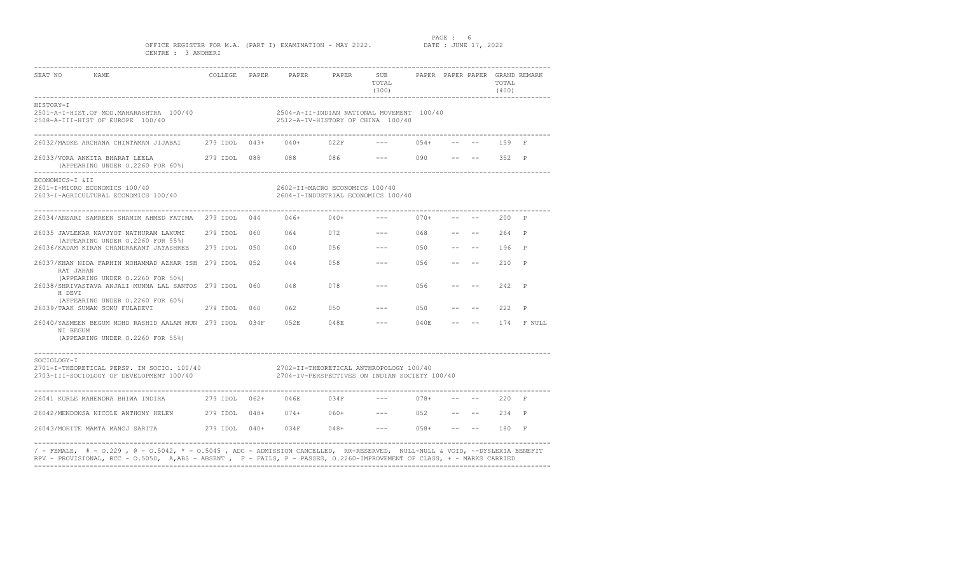PAGE : 6<br>DATE : JUNE 17, 2022

OFFICE REGISTER FOR M.A. (PART I) EXAMINATION - MAY 2022. CENTRE : 3 ANDHERI

| SEAT NO NAME                                                                                                                                                                                                                                              |  |                                                                                | TOTAL<br>(300)        |        |                                   | TOTAL<br>(400) |                  |
|-----------------------------------------------------------------------------------------------------------------------------------------------------------------------------------------------------------------------------------------------------------|--|--------------------------------------------------------------------------------|-----------------------|--------|-----------------------------------|----------------|------------------|
| HISTORY-I<br>2501-A-I-HIST.OF MOD.MAHARASHTRA 100/40<br>2508-A-III-HIST OF EUROPE 100/40                                                                                                                                                                  |  | 2504-A-II-INDIAN NATIONAL MOVEMENT 100/40<br>2512-A-IV-HISTORY OF CHINA 100/40 |                       |        |                                   |                |                  |
| 26032/MADKE ARCHANA CHINTAMAN JIJABAI 279 IDOL 043+ 040+ 022F                                                                                                                                                                                             |  |                                                                                |                       | $054+$ |                                   | 159 F          |                  |
| (APPEARING UNDER 0.2260 FOR 60%)                                                                                                                                                                                                                          |  |                                                                                |                       |        |                                   |                |                  |
| ECONOMICS-I &II<br>2601-I-MICRO ECONOMICS 100/40<br>2603-I-AGRICULTURAL ECONOMICS 100/40                                                                                                                                                                  |  | 2602-II-MACRO ECONOMICS 100/40<br>2604-I-INDUSTRIAL ECONOMICS 100/40           |                       |        |                                   |                |                  |
| 26034/ANSARI SAMREEN SHAMIM AHMED FATIMA 279 IDOL 044 046+ 040+                                                                                                                                                                                           |  |                                                                                | --- 070+ -- --        |        |                                   | 200 P          |                  |
| 26035 JAVLEKAR NAVJYOT NATHURAM LAXUMI 279 IDOL 060 064 072 --- 068 -- -- 264 P                                                                                                                                                                           |  |                                                                                |                       |        |                                   |                |                  |
| (APPEARING UNDER 0.2260 FOR 55%)<br>26036/KADAM KIRAN CHANDRAKANT JAYASHREE 279 IDOL 050 040 056                                                                                                                                                          |  |                                                                                | $--- 050 --- --- 196$ |        |                                   |                | $\mathbf{P}$     |
| 26037/KHAN NIDA FARHIN MOHAMMAD AZHAR ISH 279 IDOL 052<br>RAT JAHAN                                                                                                                                                                                       |  | 044 058                                                                        | $--- 056$             |        | and the state of the state of the | 210            | P                |
| (APPEARING UNDER 0.2260 FOR 50%)<br>26038/SHRIVASTAVA ANJALI MUNNA LAL SANTOS 279 IDOL 060<br>H DEVI                                                                                                                                                      |  | 048<br>078                                                                     | $--- 056$             |        | $  \,$                            | 242            | $\mathbb{P}$     |
| (APPEARING UNDER 0.2260 FOR 60%)                                                                                                                                                                                                                          |  | 062 050                                                                        | $--- 050$             |        | $-- - - - 222 P$                  |                |                  |
| 26040/YASMEEN BEGUM MOHD RASHID AALAM MUN 279 IDOL 034F 052E 048E --- 040E<br>NI BEGUM<br>(APPEARING UNDER 0.2260 FOR 55%)                                                                                                                                |  |                                                                                |                       |        |                                   |                | $--- 174$ F NULL |
| SOCIOLOGY-I<br>2701-I-THEORETICAL PERSP. IN SOCIO. 100/40 2702-II-THEORETICAL ANTHROPOLOGY 100/40<br>2703-III-SOCIOLOGY OF DEVELOPMENT 100/40                                                                                                             |  | 2704-IV-PERSPECTIVES ON INDIAN SOCIETY 100/40                                  |                       |        |                                   |                |                  |
| 26041 KURLE MAHENDRA BHIWA INDIRA                 279 IDOL    062+       046E         034F                                                                                                                                                                |  |                                                                                | $--- 078+$            |        |                                   | $--$ 220 F     |                  |
| 26042/MENDONSA NICOLE ANTHONY HELEN 279 IDOL 048+ 074+ 060+ --- 052 -- -- 234 P                                                                                                                                                                           |  |                                                                                |                       |        |                                   |                |                  |
|                                                                                                                                                                                                                                                           |  |                                                                                |                       |        |                                   |                |                  |
| / - FEMALE,   # - 0.229 , @ - 0.5042, * - 0.5045 , ADC - ADMISSION CANCELLED, RR-RESERVED, NULL-NULL & VOID, ~-DYSLEXIA BENEFIT<br>RPV - PROVISIONAL, RCC - 0.5050, A,ABS - ABSENT, F - FAILS, P - PASSES, 0.2260-IMPROVEMENT OF CLASS, + - MARKS CARRIED |  |                                                                                |                       |        |                                   |                |                  |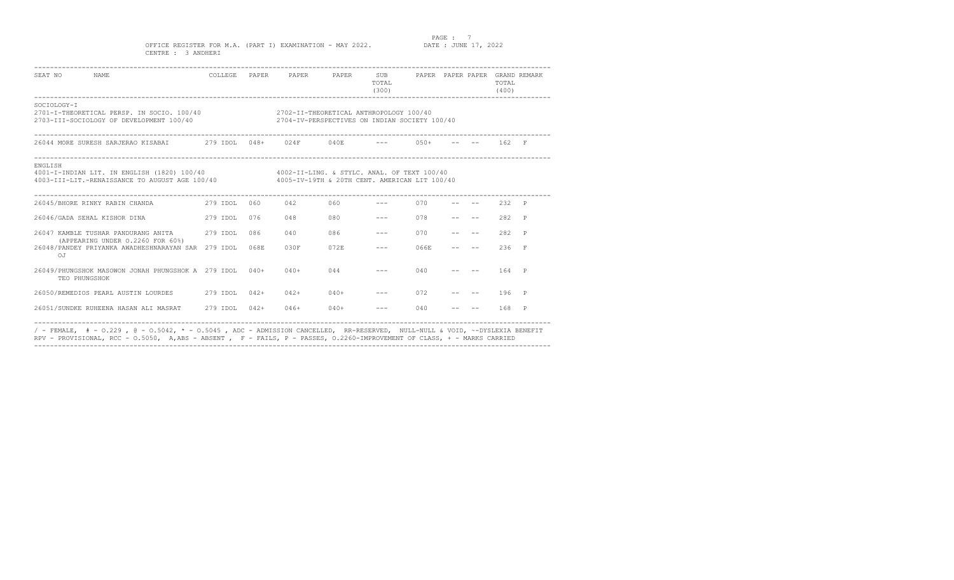PAGE : 7<br>DATE : JUNE 17, 2022

OFFICE REGISTER FOR M.A. (PART I) EXAMINATION - MAY 2022. CENTRE : 3 ANDHERI

| SEAT NO NAME                                                                                                                                                                                       |     | COLLEGE PAPER PAPER PAPER SUB PAPER PAPER PAPER GRAND REMARK |            | TOTAL<br>(300)                                                                                                                                                                                                                                                                                                                                                                                                                                                             |      |  | TOTAL<br>(400)   |          |
|----------------------------------------------------------------------------------------------------------------------------------------------------------------------------------------------------|-----|--------------------------------------------------------------|------------|----------------------------------------------------------------------------------------------------------------------------------------------------------------------------------------------------------------------------------------------------------------------------------------------------------------------------------------------------------------------------------------------------------------------------------------------------------------------------|------|--|------------------|----------|
| SOCTOLOGY-T<br>2701-I-THEORETICAL PERSP. IN SOCIO. 100/40 2702-II-THEORETICAL ANTHROPOLOGY 100/40<br>2703-III-SOCIOLOGY OF DEVELOPMENT 100/40                                                      |     | 2704-IV-PERSPECTIVES ON INDIAN SOCIETY 100/40                |            |                                                                                                                                                                                                                                                                                                                                                                                                                                                                            |      |  |                  |          |
| 26044 MORE SURESH SARJERAO KISABAI            279 IDOL   048+      024F         040E            ---        050+                                                                                    |     |                                                              |            |                                                                                                                                                                                                                                                                                                                                                                                                                                                                            |      |  | $-- - - - 162$ F |          |
| ENGLISH<br>4001-I-INDIAN LIT. IN ENGLISH (1820) 100/40 4002-II-LING. & STYLC. ANAL. OF TEXT 100/40<br>4003-III-LIT.-RENAISSANCE TO AUGUST AGE 100/40 4005-IV-19TH & 20TH CENT. AMERICAN LIT 100/40 |     |                                                              |            |                                                                                                                                                                                                                                                                                                                                                                                                                                                                            |      |  |                  |          |
|                                                                                                                                                                                                    |     |                                                              |            |                                                                                                                                                                                                                                                                                                                                                                                                                                                                            |      |  | $--- 232 P$      |          |
|                                                                                                                                                                                                    | 076 | 048                                                          | 080 0      | $\frac{1}{2} \left( \frac{1}{2} \right) \left( \frac{1}{2} \right) \left( \frac{1}{2} \right) \left( \frac{1}{2} \right) \left( \frac{1}{2} \right) \left( \frac{1}{2} \right) \left( \frac{1}{2} \right) \left( \frac{1}{2} \right) \left( \frac{1}{2} \right) \left( \frac{1}{2} \right) \left( \frac{1}{2} \right) \left( \frac{1}{2} \right) \left( \frac{1}{2} \right) \left( \frac{1}{2} \right) \left( \frac{1}{2} \right) \left( \frac{1}{2} \right) \left( \frac$ | 078  |  | 282 P            |          |
| 26047 KAMBLE TUSHAR PANDURANG ANTTA 279 TDOL 086                                                                                                                                                   |     | 040                                                          | 086        | $\qquad \qquad - -$                                                                                                                                                                                                                                                                                                                                                                                                                                                        | 070  |  | 282 P            |          |
| (APPEARING UNDER 0.2260 FOR 60%)<br>26048/PANDEY PRIYANKA AWADHESHNARAYAN SAR 279 IDOL 068E<br>O <sub>T</sub>                                                                                      |     | 0.30F                                                        | 072E       | $\qquad \qquad - -$                                                                                                                                                                                                                                                                                                                                                                                                                                                        | 066E |  | 236              | <b>F</b> |
| 26049/PHUNGSHOK MASOWON JONAH PHUNGSHOK A 279 IDOL 040+<br>TEO PHUNGSHOK                                                                                                                           |     | $040+$                                                       | 044        |                                                                                                                                                                                                                                                                                                                                                                                                                                                                            | 040  |  | 164 P            |          |
| 26050/REMEDIOS PEARL AUSTIN LOURDES 279 IDOL 042+                                                                                                                                                  |     |                                                              | $042+040+$ | the company of the company of the                                                                                                                                                                                                                                                                                                                                                                                                                                          | 072  |  | -- 196 P         |          |
| 26051/SUNDKE RUHEENA HASAN ALI MASRAT 279 IDOL 042+                                                                                                                                                |     | $046+$                                                       | $040+$     | $- - - -$                                                                                                                                                                                                                                                                                                                                                                                                                                                                  | 040  |  | 168 P            |          |

/ - FEMALE, # - O.229 , @ - O.5042, \* - O.5045 , ADC - ADMISSION CANCELLED, RR-RESERVED, NULL-NULL & VOID, ~-DYSLEXIA BENEFIT RPV - PROVISIONAL, RCC - O.5050, A,ABS - ABSENT , F - FAILS, P - PASSES, O.2260-IMPROVEMENT OF CLASS, + - MARKS CARRIED ----------------------------------------------------------------------------------------------------------------------------------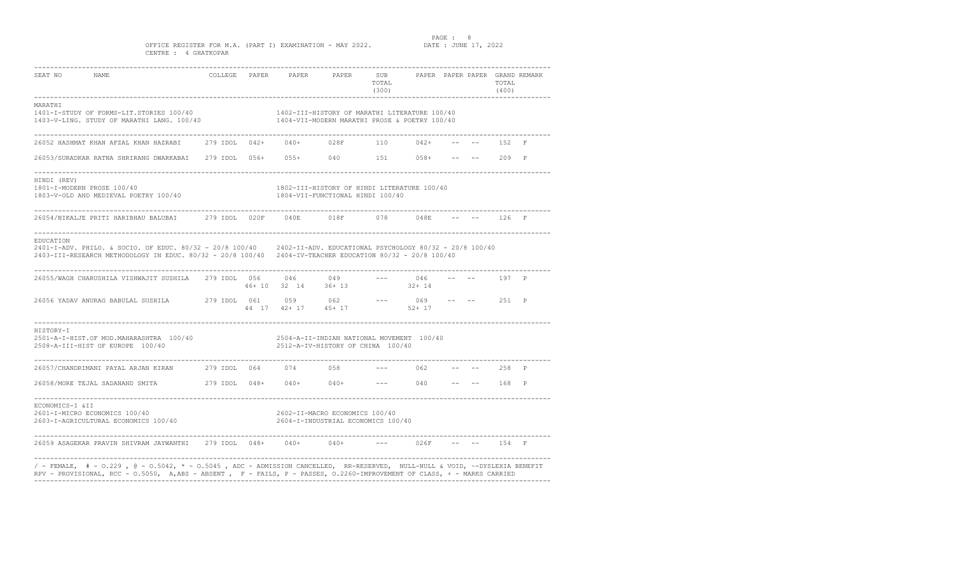PAGE : 8<br>DATE : JUNE 17, 2022

### OFFICE REGISTER FOR M.A. (PART I) EXAMINATION - MAY 2022. CENTRE : 4 GHATKOPAR

| SEAT NO<br>NAME                                                                                                                                                                                                                                            |  | COLLEGE PAPER PAPER PAPER                                                                      | SUB<br>TOTAL<br>(300)<br>-------------- |           |  | TOTAL<br>(400) | PAPER PAPER PAPER GRAND REMARK |
|------------------------------------------------------------------------------------------------------------------------------------------------------------------------------------------------------------------------------------------------------------|--|------------------------------------------------------------------------------------------------|-----------------------------------------|-----------|--|----------------|--------------------------------|
| MARATHI<br>1401-I-STUDY OF FORMS-LIT.STORIES 100/40<br>1403-V-LING. STUDY OF MARATHI LANG. 100/40                                                                                                                                                          |  | 1402-III-HISTORY OF MARATHI LITERATURE 100/40<br>1404-VII-MODERN MARATHI PROSE & POETRY 100/40 |                                         |           |  |                |                                |
| 26052 HASHMAT KHAN AFZAL KHAN HAZRABI 279 IDOL 042+ 040+ 028F 110 042+                                                                                                                                                                                     |  |                                                                                                |                                         |           |  | 152 F          |                                |
| 26053/SURADKAR RATNA SHRIRANG DWARKABAI 279 IDOL 056+ 055+ 040 151 058+ -- --                                                                                                                                                                              |  |                                                                                                |                                         |           |  | 209 P          |                                |
| HINDI (REV)<br>$1801 - I - MODERN PROSE 100/40$ $1802 - I II - HISTORY OF HINDI LITERATIVE 100/401803 - V -OLD AND MEDIEVAL POETRY 100/401804 - VII - FUNCTIONAL HINDI 100/40$                                                                             |  |                                                                                                |                                         |           |  |                |                                |
| 26054/NIKALJE PRITI HARIBHAU BALUBAI         279 IDOL    020F       040E          018F           078         048E                                                                                                                                          |  |                                                                                                |                                         |           |  | 126 F          |                                |
| EDUCATION<br>2401-I-ADV. PHILO. & SOCIO. OF EDUC. 80/32 - 20/8 100/40 2402-II-ADV. EDUCATIONAL PSYCHOLOGY 80/32 - 20/8 100/40<br>2403-III-RESEARCH METHODOLOGY IN EDUC. 80/32 - 20/8 100/40 2404-IV-TEACHER EDUCATION 80/32 - 20/8 100/40                  |  |                                                                                                |                                         |           |  |                |                                |
| 26055/WAGH CHARUSHILA VISHWAJIT SUSHILA 279 IDOL 056                                                                                                                                                                                                       |  | $0.56$ $0.46$ $0.49$ --- $0.46$<br>$0.46 + 10$ $32$ $14$ $36 + 13$ $32 + 14$                   |                                         |           |  | 197 P          |                                |
| 26056 YADAV ANURAG BABULAL SUSHILA $279$ IDOL 061 059 062 --- 069 -- -- 251 P                                                                                                                                                                              |  |                                                                                                |                                         |           |  |                |                                |
| HISTORY-I<br>2501-A-I-HIST.OF MOD.MAHARASHTRA 100/40<br>2508-A-III-HIST OF EUROPE 100/40                                                                                                                                                                   |  | 2504-A-II-INDIAN NATIONAL MOVEMENT 100/40<br>2512-A-IV-HISTORY OF CHINA 100/40                 |                                         |           |  |                |                                |
| 26057/CHANDRIMANI PAYAL ARJAN KIRAN 279 IDOL 064 074 058                                                                                                                                                                                                   |  |                                                                                                |                                         | $--- 062$ |  | 258 P          |                                |
|                                                                                                                                                                                                                                                            |  |                                                                                                |                                         |           |  |                |                                |
| ECONOMICS-I &II<br>2601-I-MICRO ECONOMICS 100/40<br>2603-I-AGRICULTURAL ECONOMICS 100/40                                                                                                                                                                   |  | 2602-II-MACRO ECONOMICS 100/40<br>2604-I-INDUSTRIAL ECONOMICS 100/40                           |                                         |           |  |                |                                |
| _________________________________<br>26059 ASAGEKAR PRAVIN SHIVRAM JAYWANTHI 279 IDOL 048+ 040+                                                                                                                                                            |  | $040+$                                                                                         |                                         | 02.6F     |  | 154 F          |                                |
| / - FEMALE,  # - 0.229 , @ - 0.5042, * - 0.5045 , ADC - ADMISSION CANCELLED,  RR-RESERVED,  NULL-NULL & VOID, ~-DYSLEXIA BENEFIT<br>RPV - PROVISIONAL, RCC - 0.5050, A,ABS - ABSENT, F - FAILS, P - PASSES, 0.2260-IMPROVEMENT OF CLASS, + - MARKS CARRIED |  |                                                                                                |                                         |           |  |                |                                |

----------------------------------------------------------------------------------------------------------------------------------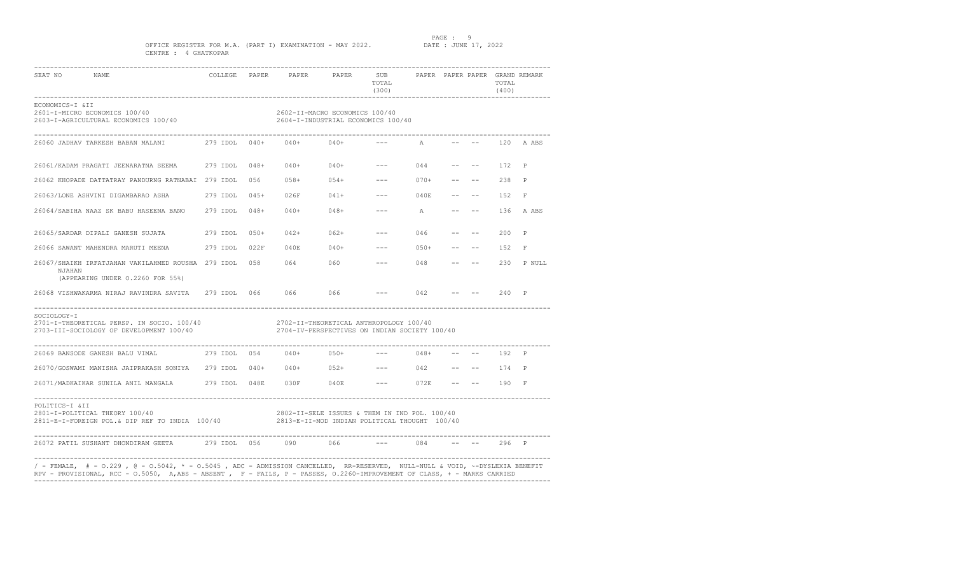### PAGE : 9<br>DATE : JUNE 17, 2022

### OFFICE REGISTER FOR M.A. (PART I) EXAMINATION - MAY 2022. CENTRE : 4 GHATKOPAR

| 2603-I-AGRICULTURAL ECONOMICS 100/40<br>26060 JADHAV TARKESH BABAN MALANI $279$ IDOL 040+<br>26061/KADAM PRAGATI JEENARATNA SEEMA 279 IDOL<br>26062 KHOPADE DATTATRAY PANDURNG RATNABAI 279 IDOL | $048+$ | $040+040+$             | 2602-II-MACRO ECONOMICS 100/40<br>2604-I-INDUSTRIAL ECONOMICS 100/40 |                                                                                                                                                                                                                                                                                                                                                                                                                                                                            | A                                                                                                                |                                                                                                                                                                                                                                                                                                                                                                                                                                                                                                                                                                                        |                                                                                                                                                                                                                    |       |                                                                                                                                                                                                                                                                                                                                                                                                                           |
|--------------------------------------------------------------------------------------------------------------------------------------------------------------------------------------------------|--------|------------------------|----------------------------------------------------------------------|----------------------------------------------------------------------------------------------------------------------------------------------------------------------------------------------------------------------------------------------------------------------------------------------------------------------------------------------------------------------------------------------------------------------------------------------------------------------------|------------------------------------------------------------------------------------------------------------------|----------------------------------------------------------------------------------------------------------------------------------------------------------------------------------------------------------------------------------------------------------------------------------------------------------------------------------------------------------------------------------------------------------------------------------------------------------------------------------------------------------------------------------------------------------------------------------------|--------------------------------------------------------------------------------------------------------------------------------------------------------------------------------------------------------------------|-------|---------------------------------------------------------------------------------------------------------------------------------------------------------------------------------------------------------------------------------------------------------------------------------------------------------------------------------------------------------------------------------------------------------------------------|
|                                                                                                                                                                                                  |        |                        |                                                                      |                                                                                                                                                                                                                                                                                                                                                                                                                                                                            |                                                                                                                  |                                                                                                                                                                                                                                                                                                                                                                                                                                                                                                                                                                                        |                                                                                                                                                                                                                    |       |                                                                                                                                                                                                                                                                                                                                                                                                                           |
|                                                                                                                                                                                                  |        |                        |                                                                      |                                                                                                                                                                                                                                                                                                                                                                                                                                                                            |                                                                                                                  |                                                                                                                                                                                                                                                                                                                                                                                                                                                                                                                                                                                        |                                                                                                                                                                                                                    |       | 120 A ABS                                                                                                                                                                                                                                                                                                                                                                                                                 |
|                                                                                                                                                                                                  |        | $040+$                 | $040+$                                                               | $\frac{1}{2} \left( \frac{1}{2} \right) \left( \frac{1}{2} \right) \left( \frac{1}{2} \right) \left( \frac{1}{2} \right) \left( \frac{1}{2} \right) \left( \frac{1}{2} \right) \left( \frac{1}{2} \right) \left( \frac{1}{2} \right) \left( \frac{1}{2} \right) \left( \frac{1}{2} \right) \left( \frac{1}{2} \right) \left( \frac{1}{2} \right) \left( \frac{1}{2} \right) \left( \frac{1}{2} \right) \left( \frac{1}{2} \right) \left( \frac{1}{2} \right) \left( \frac$ | 044                                                                                                              |                                                                                                                                                                                                                                                                                                                                                                                                                                                                                                                                                                                        | and the second state of the second                                                                                                                                                                                 | 172   | P                                                                                                                                                                                                                                                                                                                                                                                                                         |
|                                                                                                                                                                                                  | 056    | $058+$                 | $054+$                                                               | $\frac{1}{2} \frac{1}{2} \frac{1}{2} \frac{1}{2} \frac{1}{2} \frac{1}{2} \frac{1}{2} \frac{1}{2} \frac{1}{2} \frac{1}{2} \frac{1}{2} \frac{1}{2} \frac{1}{2} \frac{1}{2} \frac{1}{2} \frac{1}{2} \frac{1}{2} \frac{1}{2} \frac{1}{2} \frac{1}{2} \frac{1}{2} \frac{1}{2} \frac{1}{2} \frac{1}{2} \frac{1}{2} \frac{1}{2} \frac{1}{2} \frac{1}{2} \frac{1}{2} \frac{1}{2} \frac{1}{2} \frac{$                                                                               | $070+$                                                                                                           |                                                                                                                                                                                                                                                                                                                                                                                                                                                                                                                                                                                        |                                                                                                                                                                                                                    | 238 P |                                                                                                                                                                                                                                                                                                                                                                                                                           |
| 26063/LONE ASHVINI DIGAMBARAO ASHA 279 IDOL                                                                                                                                                      | $045+$ |                        |                                                                      |                                                                                                                                                                                                                                                                                                                                                                                                                                                                            | 040E                                                                                                             |                                                                                                                                                                                                                                                                                                                                                                                                                                                                                                                                                                                        |                                                                                                                                                                                                                    | 152   | $\mathbb{F}$                                                                                                                                                                                                                                                                                                                                                                                                              |
| 26064/SABIHA NAAZ SK BABU HASEENA BANO 279 IDOL                                                                                                                                                  | $048+$ | $040+$                 |                                                                      |                                                                                                                                                                                                                                                                                                                                                                                                                                                                            |                                                                                                                  |                                                                                                                                                                                                                                                                                                                                                                                                                                                                                                                                                                                        |                                                                                                                                                                                                                    |       | 136 A ABS                                                                                                                                                                                                                                                                                                                                                                                                                 |
| 26065/SARDAR DIPALI GANESH SUJATA 279 IDOL                                                                                                                                                       |        | $042+$                 |                                                                      | $\frac{1}{2}$                                                                                                                                                                                                                                                                                                                                                                                                                                                              | 046                                                                                                              | $- -$                                                                                                                                                                                                                                                                                                                                                                                                                                                                                                                                                                                  |                                                                                                                                                                                                                    | 200   | $\mathbb{P}$                                                                                                                                                                                                                                                                                                                                                                                                              |
| 26066 SAWANT MAHENDRA MARUTI MEENA 279 IDOL                                                                                                                                                      |        | 040E                   |                                                                      |                                                                                                                                                                                                                                                                                                                                                                                                                                                                            | $050+$                                                                                                           |                                                                                                                                                                                                                                                                                                                                                                                                                                                                                                                                                                                        |                                                                                                                                                                                                                    | 1.52  | $\mathbb{F}$                                                                                                                                                                                                                                                                                                                                                                                                              |
| 26067/SHAIKH IRFATJAHAN VAKILAHMED ROUSHA 279 IDOL                                                                                                                                               |        |                        |                                                                      |                                                                                                                                                                                                                                                                                                                                                                                                                                                                            | 048                                                                                                              |                                                                                                                                                                                                                                                                                                                                                                                                                                                                                                                                                                                        |                                                                                                                                                                                                                    | 2.30  | P NULL                                                                                                                                                                                                                                                                                                                                                                                                                    |
|                                                                                                                                                                                                  |        |                        |                                                                      |                                                                                                                                                                                                                                                                                                                                                                                                                                                                            |                                                                                                                  |                                                                                                                                                                                                                                                                                                                                                                                                                                                                                                                                                                                        |                                                                                                                                                                                                                    |       |                                                                                                                                                                                                                                                                                                                                                                                                                           |
| 2701-I-THEORETICAL PERSP. IN SOCIO. 100/40                                                                                                                                                       |        |                        |                                                                      |                                                                                                                                                                                                                                                                                                                                                                                                                                                                            |                                                                                                                  |                                                                                                                                                                                                                                                                                                                                                                                                                                                                                                                                                                                        |                                                                                                                                                                                                                    |       |                                                                                                                                                                                                                                                                                                                                                                                                                           |
|                                                                                                                                                                                                  |        |                        |                                                                      |                                                                                                                                                                                                                                                                                                                                                                                                                                                                            |                                                                                                                  |                                                                                                                                                                                                                                                                                                                                                                                                                                                                                                                                                                                        |                                                                                                                                                                                                                    |       |                                                                                                                                                                                                                                                                                                                                                                                                                           |
|                                                                                                                                                                                                  |        |                        |                                                                      |                                                                                                                                                                                                                                                                                                                                                                                                                                                                            |                                                                                                                  |                                                                                                                                                                                                                                                                                                                                                                                                                                                                                                                                                                                        |                                                                                                                                                                                                                    |       |                                                                                                                                                                                                                                                                                                                                                                                                                           |
|                                                                                                                                                                                                  |        |                        |                                                                      |                                                                                                                                                                                                                                                                                                                                                                                                                                                                            |                                                                                                                  |                                                                                                                                                                                                                                                                                                                                                                                                                                                                                                                                                                                        |                                                                                                                                                                                                                    |       |                                                                                                                                                                                                                                                                                                                                                                                                                           |
|                                                                                                                                                                                                  |        |                        |                                                                      |                                                                                                                                                                                                                                                                                                                                                                                                                                                                            |                                                                                                                  |                                                                                                                                                                                                                                                                                                                                                                                                                                                                                                                                                                                        |                                                                                                                                                                                                                    |       |                                                                                                                                                                                                                                                                                                                                                                                                                           |
|                                                                                                                                                                                                  |        |                        | 066                                                                  | $\frac{1}{2}$                                                                                                                                                                                                                                                                                                                                                                                                                                                              |                                                                                                                  |                                                                                                                                                                                                                                                                                                                                                                                                                                                                                                                                                                                        |                                                                                                                                                                                                                    |       |                                                                                                                                                                                                                                                                                                                                                                                                                           |
|                                                                                                                                                                                                  |        | $050+$<br>022F<br>0.58 | 26072 PATIL SUSHANT DHONDIRAM GEETA 279 IDOL 056 090                 | $048+$<br>$040+$                                                                                                                                                                                                                                                                                                                                                                                                                                                           | $062+$<br>0.64 0.60<br>26068 VISHWAKARMA NIRAJ RAVINDRA SAVITA      279 IDOL    066           066            066 | $026F$ $041+$ $---$<br>$--- A$<br>$\frac{1}{2} \left( \frac{1}{2} \right) \left( \frac{1}{2} \right) \left( \frac{1}{2} \right) \left( \frac{1}{2} \right) \left( \frac{1}{2} \right) \left( \frac{1}{2} \right) \left( \frac{1}{2} \right) \left( \frac{1}{2} \right) \left( \frac{1}{2} \right) \left( \frac{1}{2} \right) \left( \frac{1}{2} \right) \left( \frac{1}{2} \right) \left( \frac{1}{2} \right) \left( \frac{1}{2} \right) \left( \frac{1}{2} \right) \left( \frac{1}{2} \right) \left( \frac$<br><b>Service</b> Construction<br>2702-II-THEORETICAL ANTHROPOLOGY 100/40 | $--- 042$<br>2704-IV-PERSPECTIVES ON INDIAN SOCIETY 100/40<br>2802-II-SELE ISSUES & THEM IN IND POL. 100/40<br>2811-E-I-FOREIGN POL.& DIP REF TO INDIA 100/40 2813-E-II-MOD INDIAN POLITICAL THOUGHT 100/40<br>084 | $ -$  | <b>Contract Contract Contract</b><br>$--$ 240 P<br>26070/GOSWAMI MANISHA JAIPRAKASH SONIYA 279 IDOL 040+ 040+ 052+ --- 042 -- -- 174 P<br>26071/MADKAIKAR SUNILA ANIL MANGALA         279 IDOL   048E      030F        040E            --        072E      --          190    F<br>296 P<br>/ - FEMALE, # - 0.229 , @ - 0.5042, * - 0.5045 , ADC - ADMISSION CANCELLED, RR-RESERVED, NULL-NULL & VOID, ~-DYSLEXIA BENEFIT |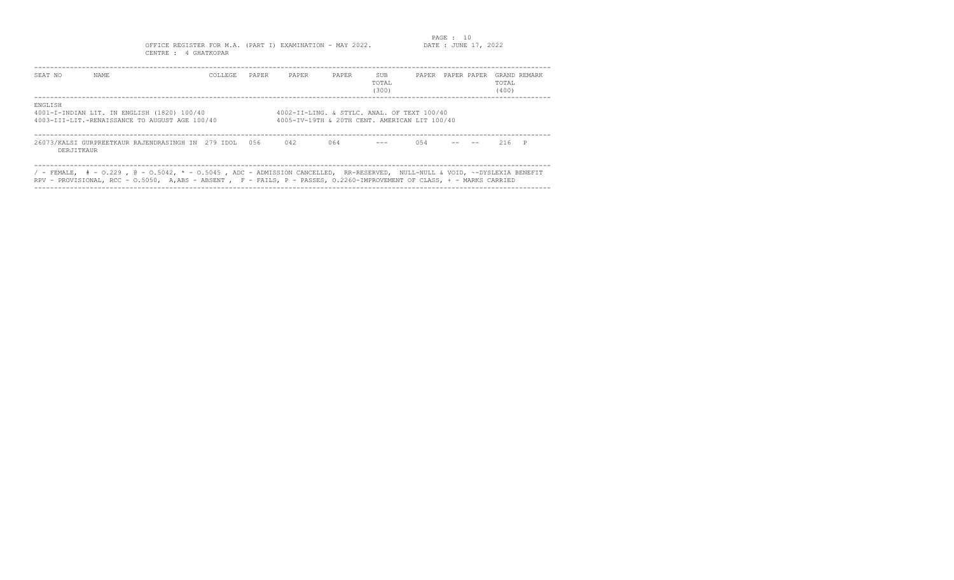### OFFICE REGISTER FOR M.A. (PART I) EXAMINATION - MAY 2022. CENTRE : 4 GHATKOPAR

| SEAT NO    | NAME                                                                                                                                                                                                                                                       | COLLEGE | PAPER | PAPER                                                                                        | PAPER | SUB<br>TOTAL<br>(300) |      | PAPER PAPER PAPER | TOTAL<br>(400) | GRAND REMARK |
|------------|------------------------------------------------------------------------------------------------------------------------------------------------------------------------------------------------------------------------------------------------------------|---------|-------|----------------------------------------------------------------------------------------------|-------|-----------------------|------|-------------------|----------------|--------------|
| ENGLISH    | 4001-I-INDIAN LIT. IN ENGLISH (1820) 100/40<br>4003-III-LIT.-RENAISSANCE TO AUGUST AGE 100/40                                                                                                                                                              |         |       | 4002-II-LING. & STYLC. ANAL. OF TEXT 100/40<br>4005-IV-19TH & 20TH CENT. AMERICAN LIT 100/40 |       |                       |      |                   |                |              |
| DERJITKAUR | 26073/KALSI GURPREETKAUR RAJENDRASINGH IN 279 IDOL 056                                                                                                                                                                                                     |         |       | 042                                                                                          | 064   |                       | 0.54 |                   | $216$ P        |              |
|            | / - FEMALE, $#$ - 0.229 , @ - 0.5042, * - 0.5045 , ADC - ADMISSION CANCELLED, RR-RESERVED, NULL-NULL & VOID, ~-DYSLEXIA BENEFIT<br>RPV - PROVISIONAL, RCC - 0.5050, A,ABS - ABSENT , F - FAILS, P - PASSES, 0.2260-IMPROVEMENT OF CLASS, + - MARKS CARRIED |         |       |                                                                                              |       |                       |      |                   |                |              |

----------------------------------------------------------------------------------------------------------------------------------

### PAGE : 10<br>DATE : JUNE 17, 2022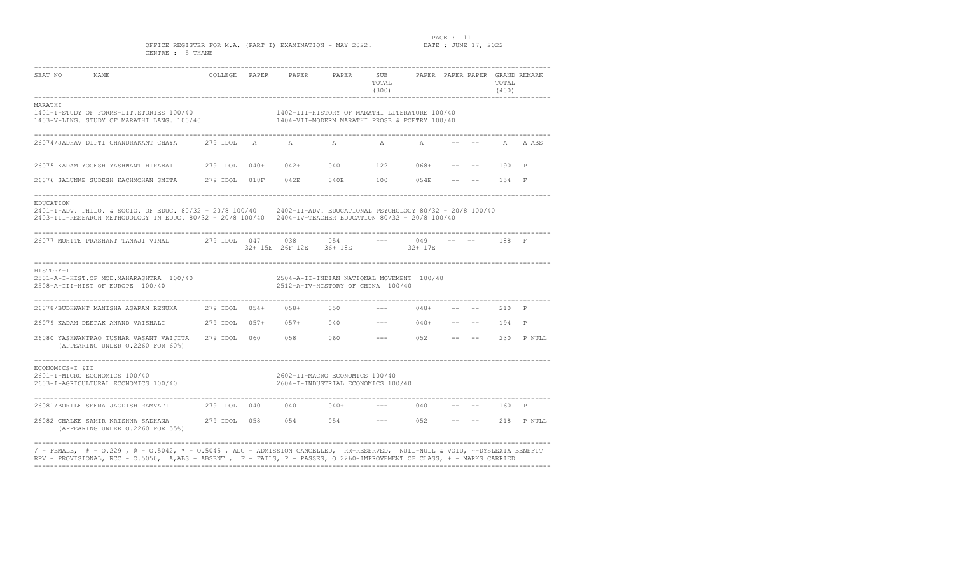PAGE : 11<br>DATE : JUNE 17, 2022

OFFICE REGISTER FOR M.A. (PART I) EXAMINATION - MAY 2022. CENTRE : 5 THANE

| SEAT NO<br><b>NAME</b>                                                                                                                                                                                                                                    |                        | COLLEGE PAPER PAPER PAPER SUB                                        |     | TOTAL<br>(300) |                        |  | TOTAL<br>(400) | PAPER PAPER PAPER GRAND REMARK |
|-----------------------------------------------------------------------------------------------------------------------------------------------------------------------------------------------------------------------------------------------------------|------------------------|----------------------------------------------------------------------|-----|----------------|------------------------|--|----------------|--------------------------------|
| MARATHI<br>1401-I-STUDY OF FORMS-LIT.STORIES 100/40<br>1403 - VISIT OF MARATHI LANG. 100/40<br>1403 - VISIT PROSE & POETRY 100/40                                                                                                                         |                        | 1402-III-HISTORY OF MARATHI LITERATURE 100/40                        |     |                |                        |  |                |                                |
| 26074/JADHAV DIPTI CHANDRAKANT CHAYA                                                                                                                                                                                                                      | 279 IDOL A A           |                                                                      | A   | A              | A                      |  |                | A A ABS                        |
|                                                                                                                                                                                                                                                           |                        |                                                                      |     |                |                        |  | 190            | $\mathsf{P}$                   |
| 26076 SALUNKE SUDESH KACHMOHAN SMITA 279 IDOL 018F 042E 040E 100 054E                                                                                                                                                                                     |                        |                                                                      |     |                |                        |  | $- --$ 154 F   |                                |
| EDUCATION<br>2401-I-ADV. PHILO. & SOCIO. OF EDUC. 80/32 - 20/8 100/40 2402-II-ADV. EDUCATIONAL PSYCHOLOGY 80/32 - 20/8 100/40<br>2403-III-RESEARCH METHODOLOGY IN EDUC. 80/32 - 20/8 100/40 2404-IV-TEACHER EDUCATION 80/32 - 20/8 100/40                 |                        |                                                                      |     |                |                        |  |                |                                |
| 26077 MOHITE PRASHANT TANAJI VIMAL                279 IDOL    047                                                                                                                                                                                         |                        | 038 039<br>32+ 15E 26F 12E 36+ 18E                                   | 054 |                | 049<br>32+ 17E         |  | 188 F          |                                |
| HISTORY-I<br>$2501 - A - I - HIST.$ OF MOD.MAHARASHTRA $100/40$<br>$2508 - A - II - HIST OF EUROPE 100/40$<br>$2512 - A - IV - HISTORY OF CHINA 100/40$                                                                                                   |                        |                                                                      |     |                |                        |  |                |                                |
| 26078/BUDHWANT MANISHA ASARAM RENUKA                                                                                                                                                                                                                      | 279 IDOL 054+ 058+ 050 |                                                                      |     |                | $048+$                 |  | 210 P          |                                |
| 26079 KADAM DEEPAK ANAND VAISHALI 279 IDOL 057+ 057+ 040                                                                                                                                                                                                  |                        |                                                                      |     |                | $--- 040+ --- --- 194$ |  |                | $\mathbb{P}$                   |
| 26080 YASHWANTRAO TUSHAR VASANT VAIJITA 279 IDOL 060 058 060<br>(APPEARING UNDER 0.2260 FOR 60%)                                                                                                                                                          |                        |                                                                      |     |                | $--- 052$ $---$        |  |                | 230 P NULL                     |
| ECONOMICS-I &II<br>2601-I-MICRO ECONOMICS 100/40<br>2603-I-AGRICULTURAL ECONOMICS 100/40                                                                                                                                                                  |                        | 2602-II-MACRO ECONOMICS 100/40<br>2604-I-INDUSTRIAL ECONOMICS 100/40 |     |                |                        |  |                |                                |
|                                                                                                                                                                                                                                                           |                        |                                                                      |     |                | $--- 040$              |  | 160 P          |                                |
| (APPEARING UNDER 0.2260 FOR 55%)                                                                                                                                                                                                                          |                        |                                                                      |     |                |                        |  |                |                                |
| / - FEMALE, $#$ - 0.229 , @ - 0.5042, * - 0.5045 , ADC - ADMISSION CANCELLED, RR-RESERVED, NULL-NULL & VOID, ~-DYSLEXIA BENEFIT<br>RPV - PROVISIONAL, RCC - 0.5050, A,ABS - ABSENT, F - FAILS, P - PASSES, 0.2260-IMPROVEMENT OF CLASS, + - MARKS CARRIED |                        |                                                                      |     |                |                        |  |                |                                |

----------------------------------------------------------------------------------------------------------------------------------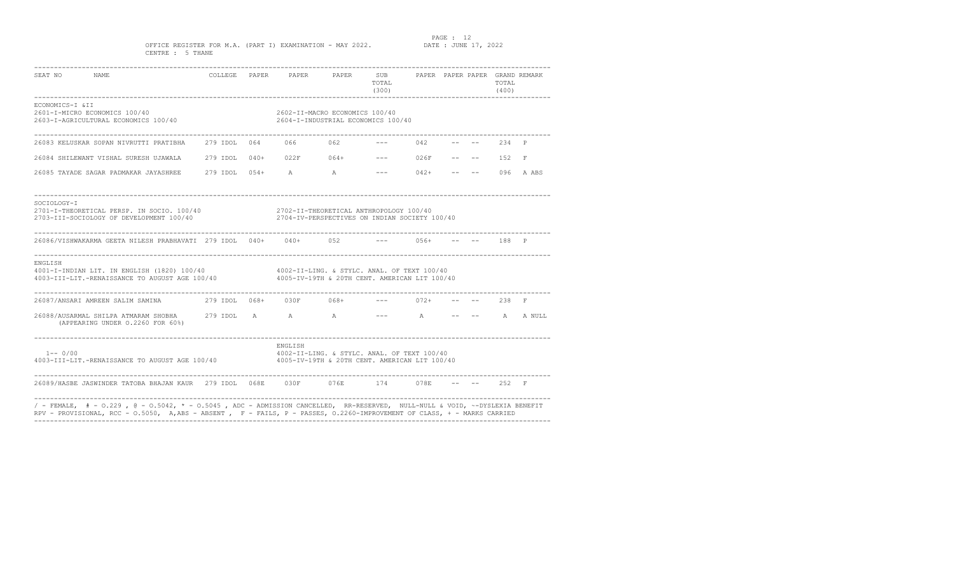PAGE : 12<br>DATE : JUNE 17, 2022

### OFFICE REGISTER FOR M.A. (PART I) EXAMINATION - MAY 2022. CENTRE : 5 THANE

| SEAT NO<br>NAME                                                                                                                                                                                    |  |         | COLLEGE PAPER PAPER PAPER SUB PAPER PAPER PAPER GRAND REMARK | TOTAL<br>(300) |                    |  | TOTAL<br>(400) |                |
|----------------------------------------------------------------------------------------------------------------------------------------------------------------------------------------------------|--|---------|--------------------------------------------------------------|----------------|--------------------|--|----------------|----------------|
| ECONOMICS-I &II<br>2601-I-MICRO ECONOMICS 100/40<br>2603-I-AGRICULTURAL ECONOMICS 100/40 2604-I-INDUSTRIAL ECONOMICS 100/40                                                                        |  |         | 2602-II-MACRO ECONOMICS 100/40                               |                |                    |  |                |                |
| 26083 KELUSKAR SOPAN NIVRUTTI PRATIBHA 279 IDOL 064 066 062                                                                                                                                        |  |         |                                                              |                | 042                |  | 234 P          |                |
| 26084 SHILEWANT VISHAL SURESH UJAWALA 279 IDOL 040+ 022F 064+ --- 026F -- --                                                                                                                       |  |         |                                                              |                |                    |  | 152            | $\mathbb{F}$   |
| 26085 TAYADE SAGAR PADMAKAR JAYASHREE 279 IDOL 054+ A A A                                                                                                                                          |  |         |                                                              |                | $--- 042+ --- ---$ |  |                | 096 A ABS      |
| SOCIOLOGY-I<br>2701-I-THEORETICAL PERSP. IN SOCIO. 100/40 2702-II-THEORETICAL ANTHROPOLOGY 100/40<br>2703-III-SOCIOLOGY OF DEVELOPMENT 100/40                                                      |  |         | 2704-IV-PERSPECTIVES ON INDIAN SOCIETY 100/40                |                |                    |  |                |                |
| 26086/VISHWAKARMA GEETA NILESH PRABHAVATI 279 IDOL 040+ 040+ 052 --- 056+                                                                                                                          |  |         |                                                              |                |                    |  | $--- 188 P$    |                |
| ENGLISH<br>4001-I-INDIAN LIT. IN ENGLISH (1820) 100/40 4002-II-LING. & STYLC. ANAL. OF TEXT 100/40<br>4003-III-LIT.-RENAISSANCE TO AUGUST AGE 100/40 4005-IV-19TH & 20TH CENT. AMERICAN LIT 100/40 |  |         |                                                              |                |                    |  |                |                |
| 26087/ANSARI AMREEN SALIM SAMINA $279$ IDOL $068+$ 030F $068+$                                                                                                                                     |  |         |                                                              |                | $--- 072+$         |  | $--- 238 F$    |                |
| 26088/AUSARMAL SHILPA ATMARAM SHOBHA          279 IDOL      A                 A<br>(APPEARING UNDER 0.2260 FOR 60%)                                                                                |  |         |                                                              |                | $--- A$            |  |                | $--- A A NULL$ |
| $1--0/00$<br>4003-III-LIT.-RENAISSANCE TO AUGUST AGE 100/40 4005-IV-19TH & 20TH CENT. AMERICAN LIT 100/40                                                                                          |  | ENGLISH | 4002-II-LING, & STYLC, ANAL, OF TEXT 100/40                  |                |                    |  |                |                |
| 26089/HASBE JASWINDER TATOBA BHAJAN KAUR 279 IDOL 068E 030F 076E 174 078E -- -- 252 F                                                                                                              |  |         |                                                              |                |                    |  |                |                |
| / - FEMALE, # - 0.229, @ - 0.5042, * - 0.5045, ADC - ADMISSION CANCELLED, RR-RESERVED, NULL-NULL & VOID, ~-DYSLEXIA BENEFIT                                                                        |  |         |                                                              |                |                    |  |                |                |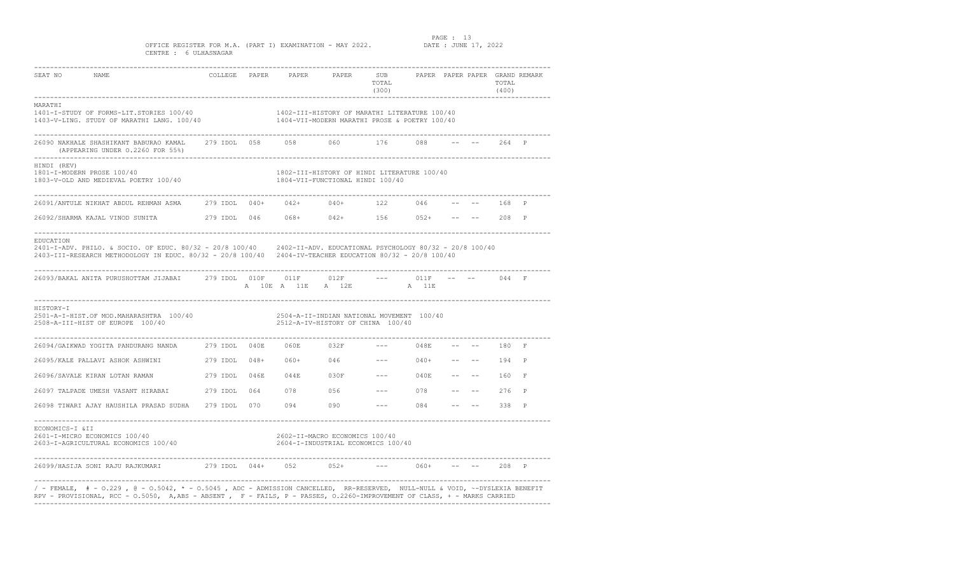### PAGE : 13<br>DATE : JUNE 17, 2022

### OFFICE REGISTER FOR M.A. (PART I) EXAMINATION - MAY 2022. CENTRE : 6 ULHASNAGAR

| SEAT NO<br>NAME                                                                                                                                                                                                                                         |          |      |                         | COLLEGE PAPER PAPER PAPER                                                       | SUB<br>TOTAL<br>(300)                                                                                                                                                                                                                                                                                                                                                                        |                    |                                         | TOTAL<br>(400) | PAPER PAPER PAPER GRAND REMARK |
|---------------------------------------------------------------------------------------------------------------------------------------------------------------------------------------------------------------------------------------------------------|----------|------|-------------------------|---------------------------------------------------------------------------------|----------------------------------------------------------------------------------------------------------------------------------------------------------------------------------------------------------------------------------------------------------------------------------------------------------------------------------------------------------------------------------------------|--------------------|-----------------------------------------|----------------|--------------------------------|
| MARATHI<br>1401-I-STUDY OF FORMS-LIT.STORIES 100/40<br>1403-V-LING. STUDY OF MARATHI LANG. 100/40                        1404-VII-MODERN MARATHI PROSE & POETRY 100/40                                                                                  |          |      |                         |                                                                                 |                                                                                                                                                                                                                                                                                                                                                                                              |                    |                                         |                |                                |
| 26090 NAKHALE SHASHIKANT BABURAO KAMAL      279 IDOL   058        058          060            176          088<br>(APPEARING UNDER 0.2260 FOR 55%)                                                                                                      |          |      |                         |                                                                                 |                                                                                                                                                                                                                                                                                                                                                                                              |                    | $-- - - - 264 P$                        |                |                                |
| HINDI (REV)<br>1801-I-MODERN PROSE 100/40<br>1803-V-OLD AND MEDIEVAL POETRY 100/40                                                                                                                                                                      |          |      |                         | 1802-III-HISTORY OF HINDI LITERATURE 100/40<br>1804-VII-FUNCTIONAL HINDI 100/40 |                                                                                                                                                                                                                                                                                                                                                                                              |                    |                                         |                |                                |
| 26091/ANTULE NIKHAT ABDUL REHMAN ASMA 279 IDOL 040+ 042+ 040+ 122 046                                                                                                                                                                                   |          |      |                         |                                                                                 |                                                                                                                                                                                                                                                                                                                                                                                              |                    | $- --$ 168 P                            |                |                                |
| 26092/SHARMA KAJAL VINOD SUNITA (279 IDOL 046 068+ 042+ 156 052+ -- -- 208 P                                                                                                                                                                            |          |      |                         |                                                                                 |                                                                                                                                                                                                                                                                                                                                                                                              |                    |                                         |                |                                |
| EDUCATION<br>2401-I-ADV. PHILO. & SOCIO. OF EDUC. 80/32 - 20/8 100/40 2402-II-ADV. EDUCATIONAL PSYCHOLOGY 80/32 - 20/8 100/40<br>2403-III-RESEARCH METHODOLOGY IN EDUC. 80/32 - 20/8 100/40 2404-IV-TEACHER EDUCATION 80/32 - 20/8 100/40               |          |      |                         |                                                                                 |                                                                                                                                                                                                                                                                                                                                                                                              |                    |                                         |                |                                |
| 26093/BAKAL ANITA PURUSHOTTAM JIJABAI        279 IDOL    010F       011F        012F                                                                                                                                                                    |          |      |                         | A 10E A 11E A 12E                                                               | <b>A</b> 11E                                                                                                                                                                                                                                                                                                                                                                                 | $--- 011F$         |                                         | 044 F          |                                |
| HISTORY-I<br>2501-A-I-HIST.OF MOD.MAHARASHTRA 100/40<br>2508-A-III-HIST OF EUROPE 100/40                                                                                                                                                                |          |      |                         | 2504-A-II-INDIAN NATIONAL MOVEMENT 100/40<br>2512-A-IV-HISTORY OF CHINA 100/40  |                                                                                                                                                                                                                                                                                                                                                                                              |                    |                                         |                |                                |
| 26094/GAIKWAD YOGITA PANDURANG NANDA                                                                                                                                                                                                                    |          |      | 279 IDOL 040E 060E 032F |                                                                                 |                                                                                                                                                                                                                                                                                                                                                                                              | $--- 048E$         |                                         | 180 F          |                                |
|                                                                                                                                                                                                                                                         |          |      |                         |                                                                                 |                                                                                                                                                                                                                                                                                                                                                                                              | $--- 040+ --- ---$ |                                         | 194            | $\mathbb{P}$                   |
| 26096/SAVALE KIRAN LOTAN RAMAN                                                                                                                                                                                                                          | 279 IDOL | 046E |                         | $044E$ 030F                                                                     | $\frac{1}{2} \frac{1}{2} \frac{1}{2} \frac{1}{2} \frac{1}{2} \frac{1}{2} \frac{1}{2} \frac{1}{2} \frac{1}{2} \frac{1}{2} \frac{1}{2} \frac{1}{2} \frac{1}{2} \frac{1}{2} \frac{1}{2} \frac{1}{2} \frac{1}{2} \frac{1}{2} \frac{1}{2} \frac{1}{2} \frac{1}{2} \frac{1}{2} \frac{1}{2} \frac{1}{2} \frac{1}{2} \frac{1}{2} \frac{1}{2} \frac{1}{2} \frac{1}{2} \frac{1}{2} \frac{1}{2} \frac{$ | 040E               | and the state of the state of the       | 160            | -F.                            |
| 26097 TALPADE UMESH VASANT HIRABAI 279 IDOL                                                                                                                                                                                                             |          | 064  |                         | 078 056 078                                                                     |                                                                                                                                                                                                                                                                                                                                                                                              | $--- 078$          |                                         | 276            | $\mathbb{P}$                   |
| 26098 TIWARI AJAY HAUSHILA PRASAD SUDHA 279 IDOL                                                                                                                                                                                                        |          | 070  |                         | $094$ 090 --- 084                                                               |                                                                                                                                                                                                                                                                                                                                                                                              |                    | the transfer of the second state of the | 338 P          |                                |
| ECONOMICS-I &II<br>2601-I-MICRO ECONOMICS 100/40<br>2603-I-AGRICULTURAL ECONOMICS 100/40                                                                                                                                                                |          |      |                         | 2602-II-MACRO ECONOMICS 100/40<br>2604-I-INDUSTRIAL ECONOMICS 100/40            |                                                                                                                                                                                                                                                                                                                                                                                              |                    |                                         |                |                                |
|                                                                                                                                                                                                                                                         |          |      |                         |                                                                                 |                                                                                                                                                                                                                                                                                                                                                                                              | $--- 060+$         | $--- 208 P$                             |                |                                |
| / - FEMALE, # - 0.229 , @ - 0.5042, * - 0.5045 , ADC - ADMISSION CANCELLED, RR-RESERVED, NULL-NULL & VOID, ~-DYSLEXIA BENEFIT<br>RPV - PROVISIONAL, RCC - 0.5050, A,ABS - ABSENT, F - FAILS, P - PASSES, 0.2260-IMPROVEMENT OF CLASS, + - MARKS CARRIED |          |      |                         |                                                                                 |                                                                                                                                                                                                                                                                                                                                                                                              |                    |                                         |                |                                |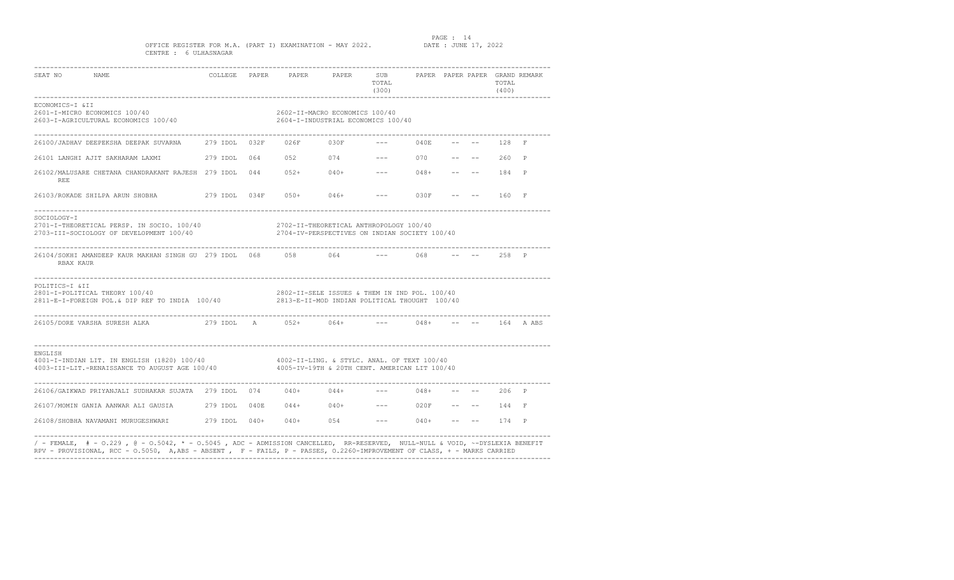PAGE : 14<br>DATE : JUNE 17, 2022

### OFFICE REGISTER FOR M.A. (PART I) EXAMINATION - MAY 2022. CENTRE : 6 ULHASNAGAR

| SEAT NO<br>NAME                                                                                                                                                                                                |  |                      |                                | COLLEGE PAPER PAPER PAPER SUB PAPER PAPER PAPER GRAND REMARK<br>TOTAL<br>(300)                                                                                                                                                                                                                                                                                                               |        |        | TOTAL<br>(400) |               |
|----------------------------------------------------------------------------------------------------------------------------------------------------------------------------------------------------------------|--|----------------------|--------------------------------|----------------------------------------------------------------------------------------------------------------------------------------------------------------------------------------------------------------------------------------------------------------------------------------------------------------------------------------------------------------------------------------------|--------|--------|----------------|---------------|
| ECONOMICS-I &II<br>2601-I-MICRO ECONOMICS 100/40<br>2603-I-AGRICULTURAL ECONOMICS 100/40                                                                                                                       |  |                      | 2602-II-MACRO ECONOMICS 100/40 | 2604-I-INDUSTRIAL ECONOMICS 100/40                                                                                                                                                                                                                                                                                                                                                           |        |        |                |               |
|                                                                                                                                                                                                                |  |                      |                                |                                                                                                                                                                                                                                                                                                                                                                                              |        |        |                |               |
| 26101 LANGHI AJIT SAKHARAM LAXMI              279 IDOL    064        052          074             --           070        --    --                                                                             |  |                      |                                |                                                                                                                                                                                                                                                                                                                                                                                              |        |        | $260$ P        |               |
| 26102/MALUSARE CHETANA CHANDRAKANT RAJESH 279 IDOL 044 052+ 040+<br><b>REE</b>                                                                                                                                 |  |                      |                                | $\frac{1}{2} \frac{1}{2} \frac{1}{2} \frac{1}{2} \frac{1}{2} \frac{1}{2} \frac{1}{2} \frac{1}{2} \frac{1}{2} \frac{1}{2} \frac{1}{2} \frac{1}{2} \frac{1}{2} \frac{1}{2} \frac{1}{2} \frac{1}{2} \frac{1}{2} \frac{1}{2} \frac{1}{2} \frac{1}{2} \frac{1}{2} \frac{1}{2} \frac{1}{2} \frac{1}{2} \frac{1}{2} \frac{1}{2} \frac{1}{2} \frac{1}{2} \frac{1}{2} \frac{1}{2} \frac{1}{2} \frac{$ | $048+$ |        | $--- 184 P$    |               |
|                                                                                                                                                                                                                |  |                      |                                | $--- 030F$                                                                                                                                                                                                                                                                                                                                                                                   |        | $  \,$ | -- 160 F       |               |
| SOCIOLOGY-I<br>2701-I-THEORETICAL PERSP. IN SOCIO. 100/40<br>2703-III-SOCIOLOGY OF DEVELOPMENT 100/40                                                                                                          |  |                      |                                | 2702-II-THEORETICAL ANTHROPOLOGY 100/40<br>2704-IV-PERSPECTIVES ON INDIAN SOCIETY 100/40                                                                                                                                                                                                                                                                                                     |        |        |                |               |
| 26104/SOKHI AMANDEEP KAUR MAKHAN SINGH GU 279 IDOL 068 058 064 --- 068<br>RBAX KAUR                                                                                                                            |  |                      |                                |                                                                                                                                                                                                                                                                                                                                                                                              |        |        | $--- 258 P$    |               |
| POLITICS-I &II<br>2801-I-POLITICAL THEORY 100/40<br>2811-E-I-FOREIGN POL.& DIP REF TO INDIA 100/40 2813-E-II-MOD INDIAN POLITICAL THOUGHT 100/40                                                               |  |                      |                                | 2802-II-SELE ISSUES & THEM IN IND POL. 100/40                                                                                                                                                                                                                                                                                                                                                |        |        |                |               |
| 26105/DORE VARSHA SURESH ALKA                                                                                                                                                                                  |  | 279 IDOL A 052+ 064+ |                                |                                                                                                                                                                                                                                                                                                                                                                                              | $048+$ |        |                | $--- 164 ABS$ |
| ENGLISH<br>$4001$ -I-INDIAN LIT. IN ENGLISH (1820) 100/40 $4002$ -II-LING. & STYLC. ANAL. OF TEXT 100/40<br>$4003$ -III-LIT.-RENAISSANCE TO AUGUST AGE 100/40 $4005$ -IV-19TH & 20TH CENT. AMERICAN LIT 100/40 |  |                      |                                |                                                                                                                                                                                                                                                                                                                                                                                              |        |        |                |               |
| 26106/GAIKWAD PRIYANJALI SUDHAKAR SUJATA 279 IDOL 074 040+ 044+                                                                                                                                                |  |                      |                                | $--- 048+$                                                                                                                                                                                                                                                                                                                                                                                   |        |        | $- --$ 206 P   |               |
| 26107/MOMIN GANIA AANWAR ALI GAUSIA 279 IDOL 040E 044+ 040+ --- 020F -- -- 144 F                                                                                                                               |  |                      |                                |                                                                                                                                                                                                                                                                                                                                                                                              |        |        |                |               |
| 26108/SHOBHA NAVAMANI MURUGESHWARI 279 IDOL 040+ 040+ 054 --- 040+                                                                                                                                             |  |                      |                                |                                                                                                                                                                                                                                                                                                                                                                                              |        |        | $--- 174 P$    |               |
| / - FEMALE, # - 0.229 , @ - 0.5042, * - 0.5045 , ADC - ADMISSION CANCELLED, RR-RESERVED, NULL-NULL & VOID, ~-DYSLEXIA BENEFIT                                                                                  |  |                      |                                |                                                                                                                                                                                                                                                                                                                                                                                              |        |        |                |               |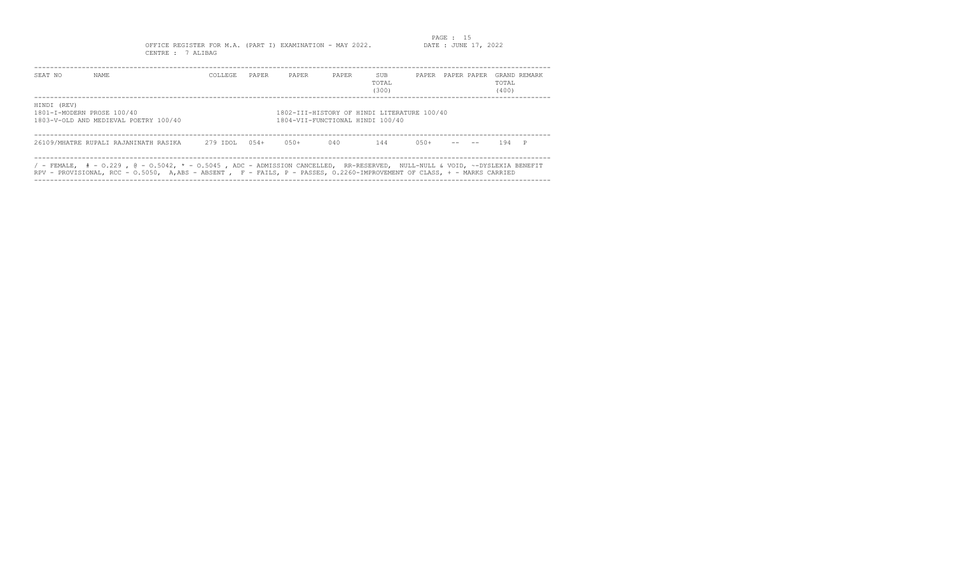## PAGE : 15<br>DATE : JUNE 17, 2022

OFFICE REGISTER FOR M.A. (PART I) EXAMINATION - MAY 2022. CENTRE : 7 ALIBAG

| SEAT NO                                   | NAME.                                                                                                                                                                                                                                                      | COLLEGE. | PAPER   | PAPER                            | PAPER | SUB<br>TOTAL<br>(300)                       | PAPER   | PAPER PAPER | TOTAL<br>(400) | GRAND REMARK |
|-------------------------------------------|------------------------------------------------------------------------------------------------------------------------------------------------------------------------------------------------------------------------------------------------------------|----------|---------|----------------------------------|-------|---------------------------------------------|---------|-------------|----------------|--------------|
| HINDI (REV)<br>1801-I-MODERN PROSE 100/40 | 1803-V-OLD AND MEDIEVAL POETRY 100/40                                                                                                                                                                                                                      |          |         | 1804-VII-FUNCTIONAL HINDI 100/40 |       | 1802-III-HISTORY OF HINDI LITERATURE 100/40 |         |             |                |              |
|                                           | 26109/MHATRE RUPALI RAJANINATH RASIKA 279 IDOL                                                                                                                                                                                                             |          | $0.54+$ | $0.50+$                          | 040   | 144                                         | $0.50+$ |             | 194 P          |              |
|                                           | / - FEMALE, $#$ - 0.229 , @ - 0.5042, * - 0.5045 , ADC - ADMISSION CANCELLED, RR-RESERVED, NULL-NULL & VOID, ~-DYSLEXIA BENEFIT<br>RPV - PROVISIONAL, RCC - 0.5050, A,ABS - ABSENT , F - FAILS, P - PASSES, 0.2260-IMPROVEMENT OF CLASS, + - MARKS CARRIED |          |         |                                  |       |                                             |         |             |                |              |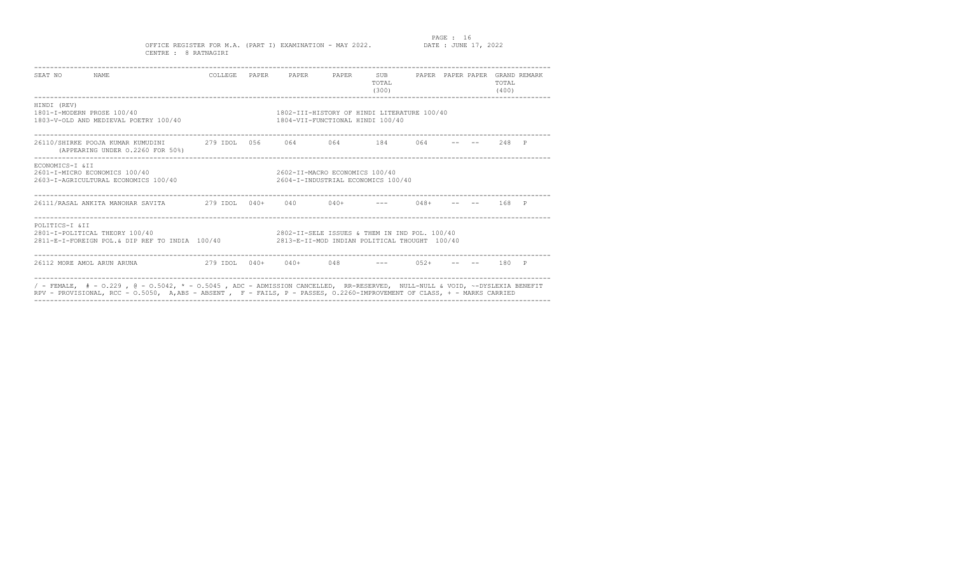### PAGE : 16<br>DATE : JUNE 17, 2022

### OFFICE REGISTER FOR M.A. (PART I) EXAMINATION - MAY 2022. CENTRE : 8 RATNAGIRI

| SEAT NO NAME                              |                                                                                                                                                                                                                                                                |  | COLLEGE PAPER PAPER PAPER SUB PAPER PAPER PAPER GRAND REMARK                    |                                                                      | TOTAL<br>(300) |  | TOTAL<br>(400) |  |
|-------------------------------------------|----------------------------------------------------------------------------------------------------------------------------------------------------------------------------------------------------------------------------------------------------------------|--|---------------------------------------------------------------------------------|----------------------------------------------------------------------|----------------|--|----------------|--|
| HINDI (REV)<br>1801-T-MODERN PROSE 100/40 | 1803-V-OLD AND MEDIEVAL POETRY 100/40                                                                                                                                                                                                                          |  | 1802-TIT-HISTORY OF HINDI LITERATURE 100/40<br>1804-VII-FUNCTIONAL HINDI 100/40 |                                                                      |                |  |                |  |
|                                           | 26110/SHIRKE POOJA KUMAR KUMUDINI             279 IDOL   056        064           184        064         --        248    P<br>(APPEARING UNDER 0.2260 FOR 50%)                                                                                                |  |                                                                                 |                                                                      |                |  |                |  |
| ECONOMICS-I & II                          | 2601-I-MICRO ECONOMICS 100/40<br>2603-I-AGRICULTURAL ECONOMICS 100/40                                                                                                                                                                                          |  |                                                                                 | 2602-II-MACRO ECONOMICS 100/40<br>2604-I-INDUSTRIAL ECONOMICS 100/40 |                |  |                |  |
|                                           |                                                                                                                                                                                                                                                                |  |                                                                                 |                                                                      |                |  |                |  |
| POLITICS-I & II                           | $2801 - T - POLTTTCAI$ , THEORY $100/40$<br>2811-E-I-FOREIGN POL.& DIP REF TO INDIA 100/40 2813-E-II-MOD INDIAN POLITICAL THOUGHT 100/40                                                                                                                       |  | 2802-II-SELE ISSUES & THEM IN IND POL. 100/40                                   |                                                                      |                |  |                |  |
| 26112 MORE AMOL ARUN ARUNA                | 2.79 TDOT, 0.40 + 0.40 + 0.48 + 0.48 + 0.52 + -- -- 1.80 + 0.48 + 0.48 + 0.48 + 0.48 + 0.48 + 0.52 + 0.52 + 0.52 + 0.52 + 0.52 + 0.52 + 0.52 + 0.52 + 0.52 + 0.52 + 0.52 + 0.52 + 0.52 + 0.52 + 0.52 + 0.52 + 0.52 + 0.52 + 0                                  |  |                                                                                 |                                                                      |                |  |                |  |
|                                           | / - FEMALE, $# - 0.229$ , $@ - 0.5042$ , $* - 0.5045$ , ADC - ADMISSION CANCELLED, RR-RESERVED, NULL-NULL & VOID, ~-DYSLEXIA BENEFIT<br>RPV - PROVISIONAL, RCC - 0.5050, A,ABS - ABSENT, F - FAILS, P - PASSES, 0.2260-IMPROVEMENT OF CLASS, + - MARKS CARRIED |  |                                                                                 |                                                                      |                |  |                |  |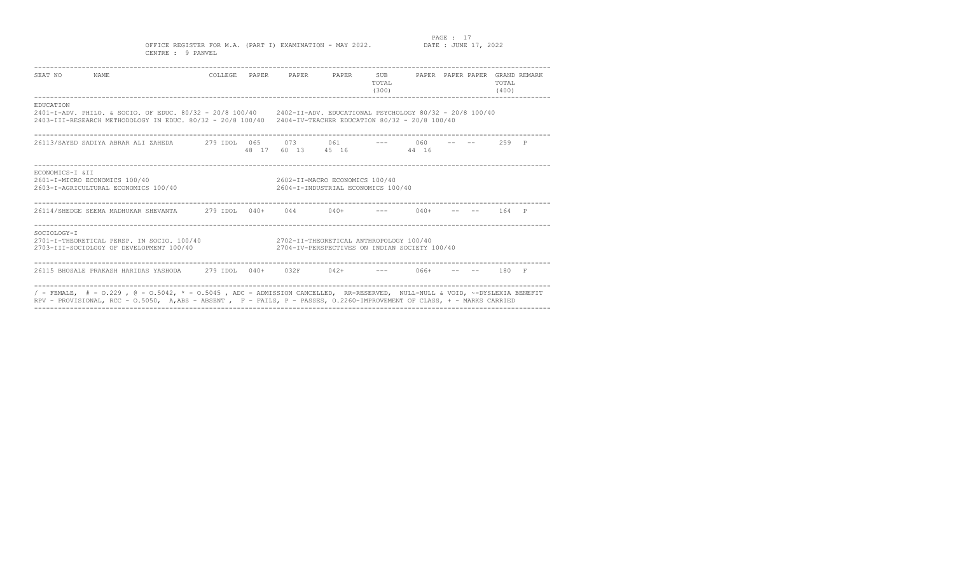PAGE : 17<br>DATE : JUNE 17, 2022

OFFICE REGISTER FOR M.A. (PART I) EXAMINATION - MAY 2022. CENTRE : 9 PANVEL

| SEAT NO<br>NAME                                                                                                                                                                                                                                           |  | COLLEGE PAPER PAPER PAPER SUB                                                            | TOTAL<br>(300) |  | PAPER PAPER PAPER GRAND REMARK<br>TOTAL<br>(400) |  |
|-----------------------------------------------------------------------------------------------------------------------------------------------------------------------------------------------------------------------------------------------------------|--|------------------------------------------------------------------------------------------|----------------|--|--------------------------------------------------|--|
| EDUCATION<br>2401-I-ADV. PHILO. & SOCIO. OF EDUC. 80/32 - 20/8 100/40 2402-II-ADV. EDUCATIONAL PSYCHOLOGY 80/32 - 20/8 100/40<br>2403-III-RESEARCH METHODOLOGY IN EDUC. 80/32 - 20/8 100/40 2404-IV-TEACHER EDUCATION 80/32 - 20/8 100/40                 |  |                                                                                          |                |  |                                                  |  |
|                                                                                                                                                                                                                                                           |  | 48 17 60 13 45 16 44 16                                                                  |                |  | 2.59 P                                           |  |
| ECONOMICS-I & TT<br>2601-I-MICRO ECONOMICS 100/40<br>2603-I-AGRICULTURAL ECONOMICS 100/40                                                                                                                                                                 |  | 2602-II-MACRO ECONOMICS 100/40<br>2604-I-INDUSTRIAL ECONOMICS 100/40                     |                |  |                                                  |  |
|                                                                                                                                                                                                                                                           |  |                                                                                          |                |  | –– 164 P                                         |  |
| SOCTOLOGY-T<br>2701-I-THEORETICAL PERSP. IN SOCIO. 100/40<br>2703-III-SOCIOLOGY OF DEVELOPMENT 100/40                                                                                                                                                     |  | 2702-II-THEORETICAL ANTHROPOLOGY 100/40<br>2704-IV-PERSPECTIVES ON INDIAN SOCIETY 100/40 |                |  |                                                  |  |
| 26115 BHOSALE PRAKASH HARIDAS YASHODA         279 IDOL    040+                                                                                                                                                                                            |  | $0.32F$ $0.42+$ $-- 0.66+$                                                               |                |  | $- --$ 180 F                                     |  |
| / - FEMALE, $#$ - 0.229 , @ - 0.5042, * - 0.5045 , ADC - ADMISSION CANCELLED, RR-RESERVED, NULL-NULL & VOID, ~-DYSLEXIA BENEFIT<br>RPV - PROVISIONAL, RCC - 0.5050, A,ABS - ABSENT, F - FAILS, P - PASSES, 0.2260-IMPROVEMENT OF CLASS, + - MARKS CARRIED |  |                                                                                          |                |  |                                                  |  |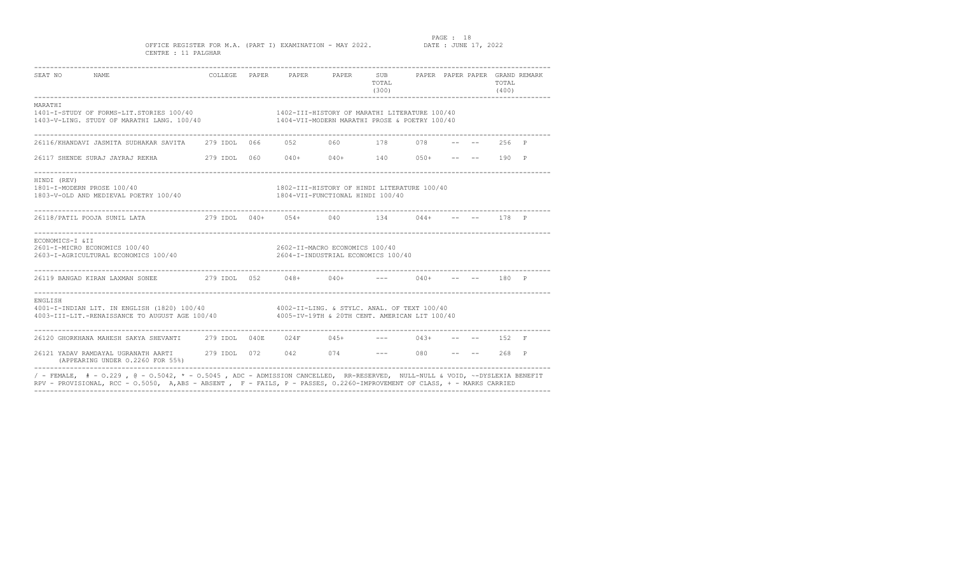PAGE : 18<br>DATE : JUNE 17, 2022

OFFICE REGISTER FOR M.A. (PART I) EXAMINATION - MAY 2022. CENTRE : 11 PALGHAR

| SEAT NO<br>NAME                                                                                                                                                                                                                                           |  | COLLEGE PAPER PAPER PAPER SUB PAPER PAPER PAPER GRAND REMARK                                   | TOTAL<br>(300) |  | TOTAL.<br>(400)          |  |
|-----------------------------------------------------------------------------------------------------------------------------------------------------------------------------------------------------------------------------------------------------------|--|------------------------------------------------------------------------------------------------|----------------|--|--------------------------|--|
| MARATHI<br>1401-I-STUDY OF FORMS-LIT.STORIES 100/40<br>1403-V-LING. STUDY OF MARATHI LANG. 100/40                                                                                                                                                         |  | 1402-III-HISTORY OF MARATHI LITERATURE 100/40<br>1404-VII-MODERN MARATHI PROSE & POETRY 100/40 |                |  |                          |  |
| 26116/KHANDAVI JASMITA SUDHAKAR SAVITA       279 IDOL   066        052           060           178         078                                                                                                                                            |  |                                                                                                |                |  | $-- - - - 256 P$         |  |
|                                                                                                                                                                                                                                                           |  |                                                                                                |                |  | $--$ 190 P               |  |
| HINDI (REV)<br>1801-I-MODERN PROSE 100/40<br>1803-V-OLD AND MEDIEVAL POETRY 100/40                                                                                                                                                                        |  | 1802-III-HISTORY OF HINDI LITERATURE 100/40<br>1804-VII-FUNCTIONAL HINDI 100/40                |                |  |                          |  |
| 26118/PATIL POOJA SUNIL LATA<br>279 IDOL 040+ 054+ 040 134 044+ -- -- 178 P                                                                                                                                                                               |  |                                                                                                |                |  |                          |  |
| ECONOMICS-I &II<br>2601-I-MICRO ECONOMICS 100/40<br>2603-I-AGRICULTURAL ECONOMICS 100/40                                                                                                                                                                  |  | 2602-II-MACRO ECONOMICS 100/40<br>2604-I-INDUSTRIAL ECONOMICS 100/40                           |                |  |                          |  |
| 26119 BANGAD KIRAN LAXMAN SONEE  279 IDOL 052  048+  040+  ---  040+                                                                                                                                                                                      |  |                                                                                                |                |  | $- --$ 180 P             |  |
| ENGLISH<br>4001-I-INDIAN LIT. IN ENGLISH (1820) 100/40 4002-II-LING. & STYLC. ANAL. OF TEXT 100/40<br>4003-III-LIT.-RENAISSANCE TO AUGUST AGE 100/40 4005-IV-19TH & 20TH CENT. AMERICAN LIT 100/40                                                        |  |                                                                                                |                |  |                          |  |
| 26120 GHORKHANA MAHESH SAKYA SHEVANTI 279 IDOL 040E 024F 045+ --- 043+                                                                                                                                                                                    |  |                                                                                                |                |  | $-- - - - 152 \text{ F}$ |  |
| 26121 YADAV RAMDAYAL UGRANATH AARTI 279 IDOL 072 042 074 --- 080 --<br>(APPEARING UNDER 0.2260 FOR 55%)                                                                                                                                                   |  |                                                                                                |                |  | $--$ 268 P               |  |
| / - FEMALE, $#$ - 0.229 , @ - 0.5042, * - 0.5045 , ADC - ADMISSION CANCELLED, RR-RESERVED, NULL-NULL & VOID, ~-DYSLEXIA BENEFIT<br>RPV - PROVISIONAL, RCC - 0.5050, A,ABS - ABSENT, F - FAILS, P - PASSES, 0.2260-IMPROVEMENT OF CLASS, + - MARKS CARRIED |  |                                                                                                |                |  |                          |  |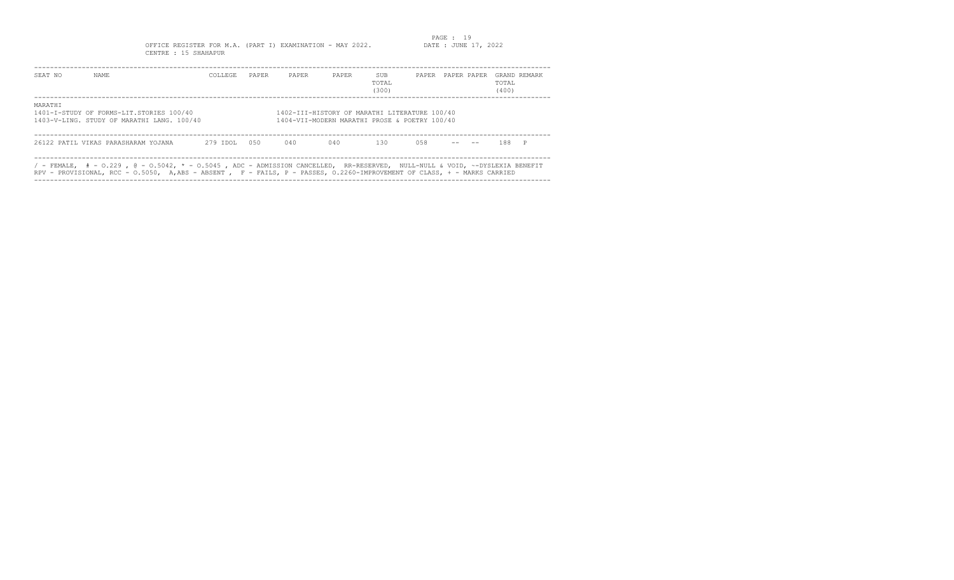### PAGE : 19<br>DATE : JUNE 17, 2022 OFFICE REGISTER FOR M.A. (PART I) EXAMINATION - MAY 2022. CENTRE : 15 SHAHAPUR

| SEAT NO | NAME.                                                                                                                                                                                                                                                      | COLLEGE. | PAPER | PAPER                                                                                          | PAPER | SUB<br>TOTAL<br>(300) | PAPER | PAPER PAPER | TOTAL<br>(400) | GRAND REMARK |
|---------|------------------------------------------------------------------------------------------------------------------------------------------------------------------------------------------------------------------------------------------------------------|----------|-------|------------------------------------------------------------------------------------------------|-------|-----------------------|-------|-------------|----------------|--------------|
| MARATHI | 1401-I-STUDY OF FORMS-LIT.STORIES 100/40<br>1403-V-LING. STUDY OF MARATHI LANG. 100/40                                                                                                                                                                     |          |       | 1402-III-HISTORY OF MARATHI LITERATURE 100/40<br>1404-VII-MODERN MARATHI PROSE & POETRY 100/40 |       |                       |       |             |                |              |
|         | 26122 PATIL VIKAS PARASHARAM YOJANA                                                                                                                                                                                                                        | 279 IDOL | 0.50  | 040                                                                                            | 040   | 1.30                  | 0.58  |             | 188 P          |              |
|         | / - FEMALE, $#$ - 0.229 , @ - 0.5042, * - 0.5045 , ADC - ADMISSION CANCELLED, RR-RESERVED, NULL-NULL & VOID, ~-DYSLEXIA BENEFIT<br>RPV - PROVISIONAL, RCC - 0.5050, A,ABS - ABSENT , F - FAILS, P - PASSES, 0.2260-IMPROVEMENT OF CLASS, + - MARKS CARRIED |          |       |                                                                                                |       |                       |       |             |                |              |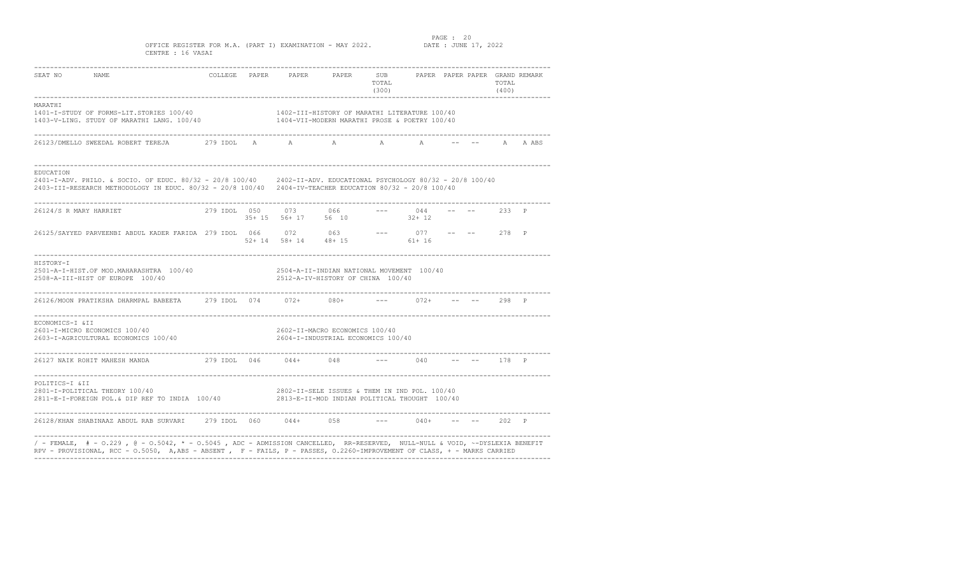### PAGE : 20<br>DATE : JUNE 17, 2022

OFFICE REGISTER FOR M.A. (PART I) EXAMINATION - MAY 2022. CENTRE : 16 VASAI

| SEAT NO<br>NAME                                                                                                                                                                                                                                  |                                |                       | COLLEGE PAPER PAPER PAPER SUB                                                                  | TOTAL<br>(300) |                         |  | TOTAL<br>(400) | PAPER PAPER PAPER GRAND REMARK |
|--------------------------------------------------------------------------------------------------------------------------------------------------------------------------------------------------------------------------------------------------|--------------------------------|-----------------------|------------------------------------------------------------------------------------------------|----------------|-------------------------|--|----------------|--------------------------------|
| MARATHI<br>1401-I-STUDY OF FORMS-LIT.STORIES 100/40<br>1403-V-LING. STUDY OF MARATHI LANG. 100/40                                                                                                                                                | ------------------------------ |                       | 1402-III-HISTORY OF MARATHI LITERATURE 100/40<br>1404-VII-MODERN MARATHI PROSE & POETRY 100/40 |                |                         |  |                |                                |
| 26123/DMELLO SWEEDAL ROBERT TEREJA                                                                                                                                                                                                               |                                |                       | 279 IDOL A A A A A                                                                             |                |                         |  | A              | A ABS                          |
| <b>EDUCATION</b><br>2401-I-ADV, PHILO, & SOCIO, OF EDUC, 80/32 - 20/8 100/40 2402-II-ADV, EDUCATIONAL PSYCHOLOGY 80/32 - 20/8 100/40<br>2403-III-RESEARCH METHODOLOGY IN EDUC. 80/32 - 20/8 100/40 2404-IV-TEACHER EDUCATION 80/32 - 20/8 100/40 |                                |                       |                                                                                                |                |                         |  |                |                                |
| 26124/S R MARY HARRIET                                                                                                                                                                                                                           |                                | 279 IDOL 050 073 066  | 35+ 15 56+ 17 56 10                                                                            |                | $--- 044$<br>$32+12$    |  | $--- 233 P$    |                                |
| 26125/SAYYED PARVEENBI ABDUL KADER FARIDA 279 IDOL 066 072 063 --- 077 52+ 14 58+ 14 48+ 15 61+ 16                                                                                                                                               |                                |                       |                                                                                                |                | $--- 077 --- --- 278 P$ |  |                |                                |
| HISTORY-I<br>2501-A-I-HIST.OF MOD.MAHARASHTRA 100/40<br>2508-A-III-HIST OF EUROPE 100/40                                                                                                                                                         |                                |                       | 2504-A-II-INDIAN NATIONAL MOVEMENT 100/40<br>2512-A-IV-HISTORY OF CHINA 100/40                 |                |                         |  |                |                                |
| 26126/MOON PRATIKSHA DHARMPAL BABEETA 279 IDOL 074 072+ 080+                                                                                                                                                                                     |                                |                       |                                                                                                | $---$          | $072+$                  |  | $--$ 298 P     |                                |
| ECONOMICS-I &II<br>2601-I-MICRO ECONOMICS 100/40<br>2603-I-AGRICULTURAL ECONOMICS 100/40                                                                                                                                                         |                                |                       | 2602-II-MACRO ECONOMICS 100/40<br>2604-I-INDUSTRIAL ECONOMICS 100/40                           |                |                         |  |                |                                |
| 26127 NAIK ROHIT MAHESH MANDA                                                                                                                                                                                                                    |                                | 279 IDOL 046 044+ 048 |                                                                                                |                | $--- 040$               |  | $--- 178 P$    |                                |
| POLITICS-I &II<br>2801-I-POLITICAL THEORY 100/40<br>2811-E-I-FOREIGN POL.& DIP REF TO INDIA 100/40                                                                                                                                               |                                |                       | 2802-II-SELE ISSUES & THEM IN IND POL. 100/40<br>2813-E-II-MOD INDIAN POLITICAL THOUGHT 100/40 |                |                         |  |                |                                |
| 26128/KHAN SHABINAAZ ABDUL RAB SURVARI       279 IDOL     060          044+          058                                                                                                                                                         |                                |                       |                                                                                                |                | $--- 040+$              |  | 202 P          |                                |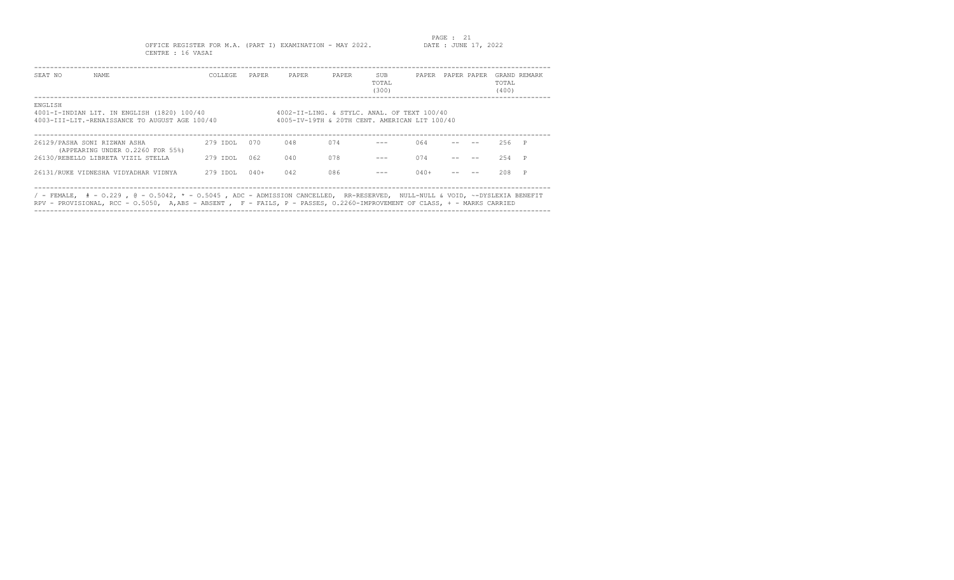PAGE : 21<br>DATE : JUNE 17, 2022

OFFICE REGISTER FOR M.A. (PART I) EXAMINATION - MAY 2022. CENTRE : 16 VASAI

| SEAT NO | NAME                                                                                                                        | COLLEGE  | PAPER  | PAPER                                                                                        | PAPER | SUB<br>TOTAL<br>(300) |        | PAPER PAPER PAPER | TOTAL<br>(400) | GRAND REMARK |
|---------|-----------------------------------------------------------------------------------------------------------------------------|----------|--------|----------------------------------------------------------------------------------------------|-------|-----------------------|--------|-------------------|----------------|--------------|
| ENGLISH | 4001-I-INDIAN LIT. IN ENGLISH (1820) 100/40<br>4003-TIT-LIT -RENAISSANCE TO AUGUST AGE 100/40                               |          |        | 4002-II-LING. & STYLC. ANAL. OF TEXT 100/40<br>4005-IV-19TH & 20TH CENT. AMERICAN LIT 100/40 |       |                       |        |                   |                |              |
|         | 26129/PASHA SONI RIZWAN ASHA<br>(APPEARING UNDER 0.2260 FOR 55%)                                                            | 279 TDOL | 070    | 048                                                                                          | 074   |                       | 064    |                   | $256$ P        |              |
|         | 26130/REBELLO LIBRETA VIZIL STELLA                                                                                          | 279 IDOL | 062    | 040                                                                                          | 078   |                       | 074    |                   | 2.54           |              |
|         | 26131/RUKE VIDNESHA VIDYADHAR VIDNYA                                                                                        | 279 IDOL | $040+$ | 042                                                                                          | 086   |                       | $040+$ |                   | 208            | P            |
|         | / - FEMALE, # - 0.229, @ - 0.5042, * - 0.5045, ADC - ADMISSION CANCELLED, RR-RESERVED, NULL-NULL & VOID, ~-DYSLEXIA BENEFIT |          |        |                                                                                              |       |                       |        |                   |                |              |
|         | RPV - PROVISIONAL, RCC - 0.5050, A,ABS - ABSENT , F - FAILS, P - PASSES, 0.2260-IMPROVEMENT OF CLASS, + - MARKS CARRIED     |          |        |                                                                                              |       |                       |        |                   |                |              |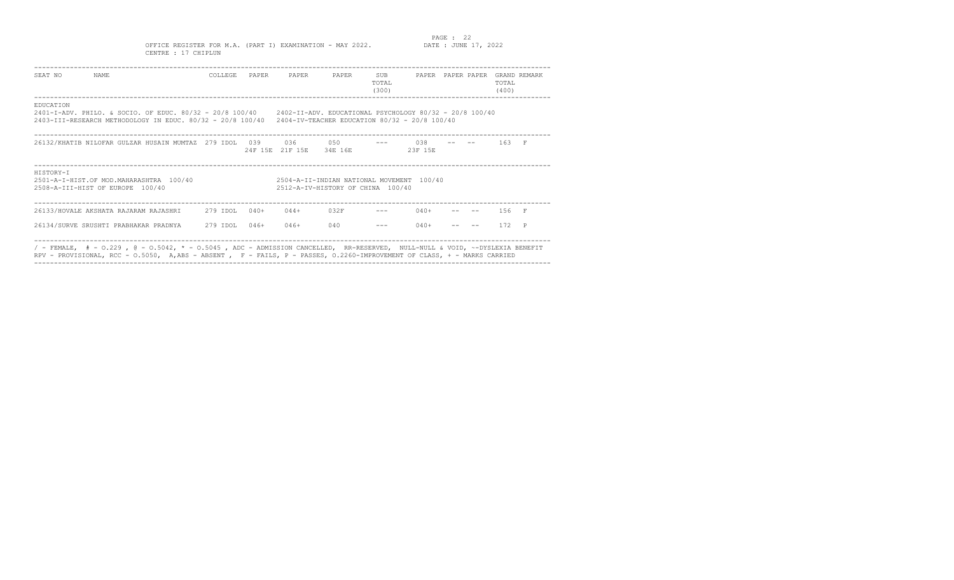PAGE : 22<br>DATE : JUNE 17, 2022 OFFICE REGISTER FOR M.A. (PART I) EXAMINATION - MAY 2022. CENTRE : 17 CHIPLUN

| SEAT NO   | <b>NAME</b>                                                                                                                                                                                                                  | COLLEGE. | PAPER   | PAPER             | PAPER                                                                          | SUB<br>TOTAL<br>(300) | PAPER PAPER PAPER |  | TOTAL.<br>(400) | GRAND REMARK |
|-----------|------------------------------------------------------------------------------------------------------------------------------------------------------------------------------------------------------------------------------|----------|---------|-------------------|--------------------------------------------------------------------------------|-----------------------|-------------------|--|-----------------|--------------|
| EDUCATION | 2401-I-ADV. PHILO. & SOCIO. OF EDUC. 80/32 - 20/8 100/40 2402-II-ADV. EDUCATIONAL PSYCHOLOGY 80/32 - 20/8 100/40<br>2403-III-RESEARCH METHODOLOGY IN EDUC. 80/32 - 20/8 100/40 2404-IV-TEACHER EDUCATION 80/32 - 20/8 100/40 |          |         |                   |                                                                                |                       |                   |  |                 |              |
|           | 26132/KHATIB NILOFAR GULZAR HUSAIN MUMTAZ 279 IDOL 039                                                                                                                                                                       |          | 24F 15E | 0.36<br>21 F 15 E | 050<br>34E 16E                                                                 |                       | 0.38<br>23F 15E   |  | 163 F           |              |
| HISTORY-T | $2501 - A - T - HTST$ . OF MOD. MAHARASHTRA 100/40<br>2508-A-TIT-HIST OF EUROPE 100/40                                                                                                                                       |          |         |                   | 2504-A-TT-INDIAN NATIONAL MOVEMENT 100/40<br>2512-A-TV-HISTORY OF CHINA 100/40 |                       |                   |  |                 |              |
|           | 26133/HOVALE AKSHATA RAJARAM RAJASHRI 279 IDOL                                                                                                                                                                               |          | $040+$  | $044+$            | 032F                                                                           |                       | $040+$            |  | 156 F           |              |
|           | 26134/SURVE SRUSHTI PRABHAKAR PRADNYA                                                                                                                                                                                        | 279 IDOL | $046+$  | $046+$            | 040                                                                            |                       | $040+$            |  | 172             | P            |
|           | / - FEMALE, $# - 0.229$ , $@ - 0.5042$ , $* - 0.5045$ , ADC - ADMISSION CANCELLED, RR-RESERVED, NULL-NULL & VOID, ~-DYSLEXIA BENEFIT                                                                                         |          |         |                   |                                                                                |                       |                   |  |                 |              |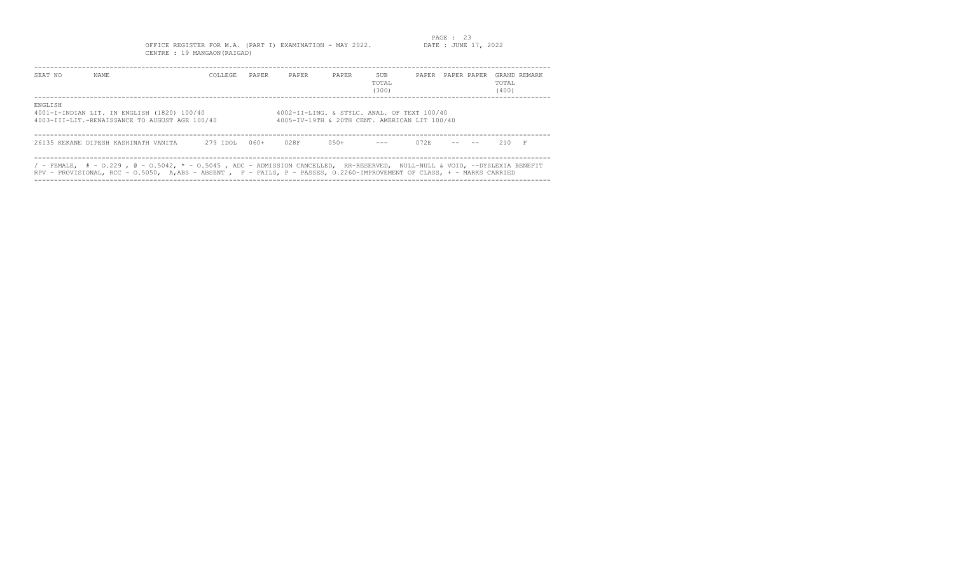# PAGE : 23 OFFICE REGISTER FOR M.A. (PART I) EXAMINATION - MAY 2022. DATE : JUNE 17, 2022 CENTRE : 19 MANGAON(RAIGAD)

| SEAT NO | NAME.                                                                                                                                                                                                                                                     | COLLEGE. | PAPER  | PAPER                                                                                        | PAPER   | <b>SUB</b><br>TOTAL<br>(300) |      | PAPER PAPER PAPER | TOTAL<br>(400) | GRAND REMARK |
|---------|-----------------------------------------------------------------------------------------------------------------------------------------------------------------------------------------------------------------------------------------------------------|----------|--------|----------------------------------------------------------------------------------------------|---------|------------------------------|------|-------------------|----------------|--------------|
| ENGLISH | 4001-I-INDIAN LIT. IN ENGLISH (1820) 100/40<br>4003-III-LIT.-RENAISSANCE TO AUGUST AGE 100/40                                                                                                                                                             |          |        | 4002-II-LING. & STYLC. ANAL. OF TEXT 100/40<br>4005-IV-19TH & 20TH CENT. AMERICAN LIT 100/40 |         |                              |      |                   |                |              |
|         | 26135 KEKANE DIPESH KASHINATH VANITA                                                                                                                                                                                                                      | 279 IDOL | $060+$ | 028F                                                                                         | $0.50+$ | $\qquad \qquad - -$          | 072F |                   | $210$ F        |              |
|         | / - FEMALE, $#$ - 0.229 , @ - 0.5042, * - 0.5045 , ADC - ADMISSION CANCELLED, RR-RESERVED, NULL-NULL & VOID, ~-DYSLEXIA BENEFIT<br>RPV - PROVISIONAL, RCC - 0.5050, A,ABS - ABSENT, F - FAILS, P - PASSES, 0.2260-IMPROVEMENT OF CLASS, + - MARKS CARRIED |          |        |                                                                                              |         |                              |      |                   |                |              |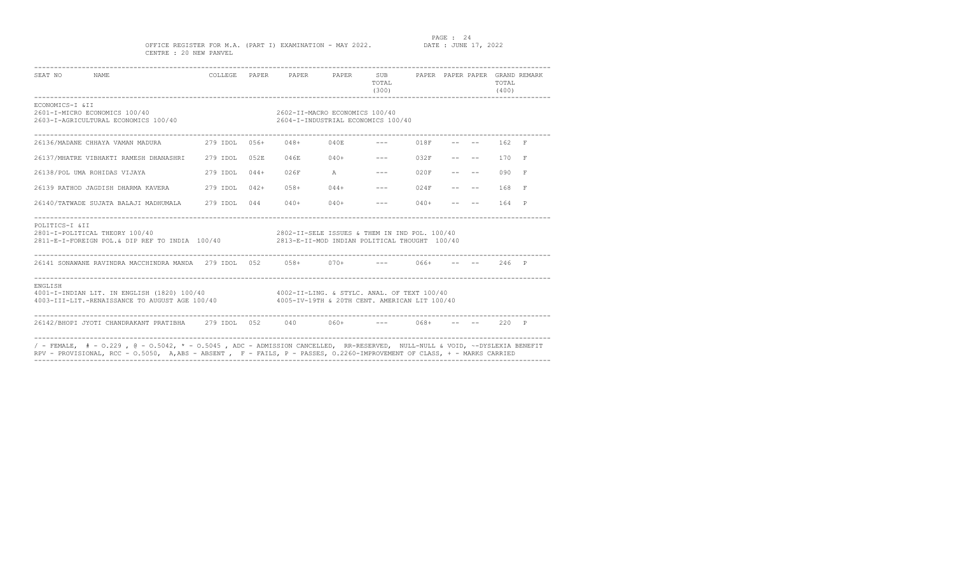PAGE : 24<br>DATE : JUNE 17, 2022

### OFFICE REGISTER FOR M.A. (PART I) EXAMINATION - MAY 2022. CENTRE : 20 NEW PANVEL

| SEAT NO NAME    |                                                                                                                                                                                                                                                       |                                               | COLLEGE PAPER PAPER PAPER SUB PAPER PAPER PAPER GRAND REMARK         |             | TOTAL<br>(300)           |            |  | TOTAL<br>(400)   |  |
|-----------------|-------------------------------------------------------------------------------------------------------------------------------------------------------------------------------------------------------------------------------------------------------|-----------------------------------------------|----------------------------------------------------------------------|-------------|--------------------------|------------|--|------------------|--|
| ECONOMICS-I &II | 2601-I-MICRO ECONOMICS 100/40<br>2603-I-AGRICULTURAL ECONOMICS 100/40                                                                                                                                                                                 |                                               | 2602-II-MACRO ECONOMICS 100/40<br>2604-I-INDUSTRIAL ECONOMICS 100/40 |             |                          |            |  |                  |  |
|                 |                                                                                                                                                                                                                                                       |                                               |                                                                      |             |                          |            |  |                  |  |
|                 | 26137/MHATRE VIBHAKTI RAMESH DHANASHRI 279 IDOL 052E                                                                                                                                                                                                  |                                               |                                                                      |             | $046E$ $040+$ $---$ 032F |            |  | $- --$ 170 F     |  |
|                 | 26138/POL UMA ROHIDAS VIJAYA                                                                                                                                                                                                                          | 279 IDOL 044+                                 | 026F                                                                 | $\mathbb A$ | $--- 020F$               |            |  | $-- - - - 090$ F |  |
|                 | 26139 RATHOD JAGDISH DHARMA KAVERA 279 IDOL 042+                                                                                                                                                                                                      |                                               | $058+$                                                               | $044+$      |                          | $--- 024F$ |  | 168 F            |  |
|                 | 26140/TATWADE SUJATA BALAJI MADHUMALA 279 IDOL 044                                                                                                                                                                                                    |                                               |                                                                      | $040+040+$  |                          | $--- 040+$ |  | $- --$ 164 P     |  |
| POLITICS-I &II  | 2801-I-POLITICAL THEORY 100/40<br>2811-E-I-FOREIGN POL.& DIP REF TO INDIA 100/40 2813-E-II-MOD INDIAN POLITICAL THOUGHT 100/40                                                                                                                        | 2802-II-SELE ISSUES & THEM IN IND POL. 100/40 |                                                                      |             |                          |            |  |                  |  |
|                 | 26141 SONAWANE RAVINDRA MACCHINDRA MANDA 279 IDOL 052 058+ 070+ --- 066+ -- -- 246 P                                                                                                                                                                  |                                               |                                                                      |             |                          |            |  |                  |  |
| ENGLISH         | 4001-I-INDIAN LIT. IN ENGLISH (1820) 100/40 4002-II-LING. & STYLC. ANAL. OF TEXT 100/40<br>4003-III-LIT.-RENAISSANCE TO AUGUST AGE 100/40 4005-IV-19TH & 20TH CENT. AMERICAN LIT 100/40                                                               |                                               |                                                                      |             |                          |            |  |                  |  |
|                 | 26142/BHOPI JYOTI CHANDRAKANT PRATIBHA 279 IDOL 052 040 060+ --- 068+ -- -- 220 P                                                                                                                                                                     |                                               |                                                                      |             |                          |            |  |                  |  |
|                 | / - FEMALE, # - 0.229, @ - 0.5042, * - 0.5045, ADC - ADMISSION CANCELLED, RR-RESERVED, NULL-NULL & VOID, ~-DYSLEXIA BENEFIT<br>RPV - PROVISIONAL, RCC - 0.5050, A,ABS - ABSENT, F - FAILS, P - PASSES, 0.2260-IMPROVEMENT OF CLASS, + - MARKS CARRIED |                                               |                                                                      |             |                          |            |  |                  |  |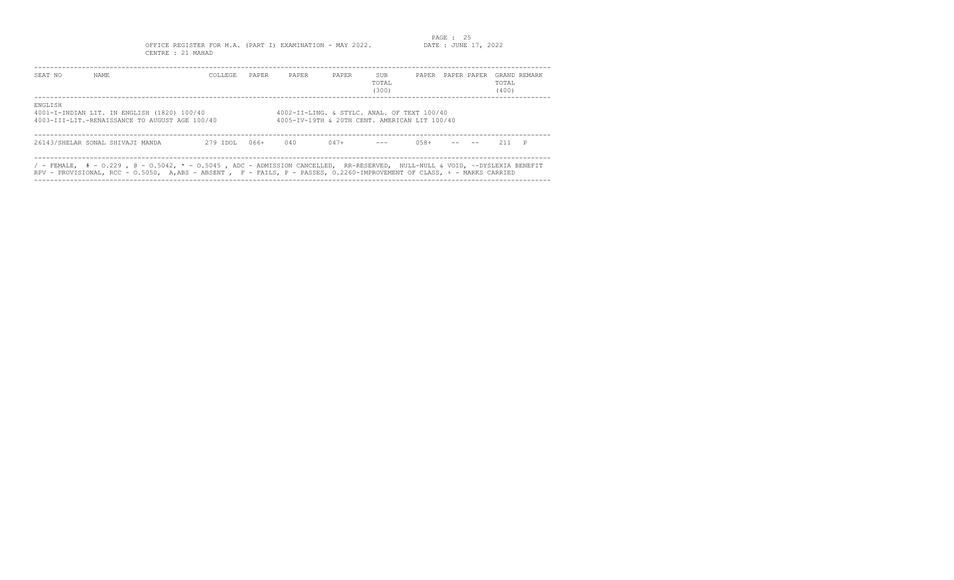PAGE : 25<br>DATE : JUNE 17, 2022 OFFICE REGISTER FOR M.A. (PART I) EXAMINATION - MAY 2022.

| SEAT NO                                                                                                  | NAME                                                                                                                                                                                                                                                       | COLLEGE  | PAPER | PAPER | PAPER  | <b>SUB</b><br>TOTAL<br>(300) | PAPER PAPER PAPER |  |  | TOTAL.<br>(400) | GRAND REMARK |
|----------------------------------------------------------------------------------------------------------|------------------------------------------------------------------------------------------------------------------------------------------------------------------------------------------------------------------------------------------------------------|----------|-------|-------|--------|------------------------------|-------------------|--|--|-----------------|--------------|
| ENGLISH<br>4001-I-INDIAN LIT. IN ENGLISH (1820) 100/40<br>4003-III-LIT.-RENAISSANCE TO AUGUST AGE 100/40 | 4002-II-LING. & STYLC. ANAL. OF TEXT 100/40<br>4005-IV-19TH & 20TH CENT. AMERICAN LIT 100/40                                                                                                                                                               |          |       |       |        |                              |                   |  |  |                 |              |
|                                                                                                          | 26143/SHELAR SONAL SHIVAJI MANDA                                                                                                                                                                                                                           | 279 IDOL | 066+  | 040   | $047+$ | $\frac{1}{2}$                | $058 +$           |  |  | $211$ P         |              |
|                                                                                                          | / - FEMALE, $#$ - 0.229 , @ - 0.5042, * - 0.5045 , ADC - ADMISSION CANCELLED, RR-RESERVED, NULL-NULL & VOID, ~-DYSLEXIA BENEFIT<br>RPV - PROVISIONAL, RCC - 0.5050, A,ABS - ABSENT , F - FAILS, P - PASSES, 0.2260-IMPROVEMENT OF CLASS, + - MARKS CARRIED |          |       |       |        |                              |                   |  |  |                 |              |

----------------------------------------------------------------------------------------------------------------------------------

CENTRE : 21 MAHAD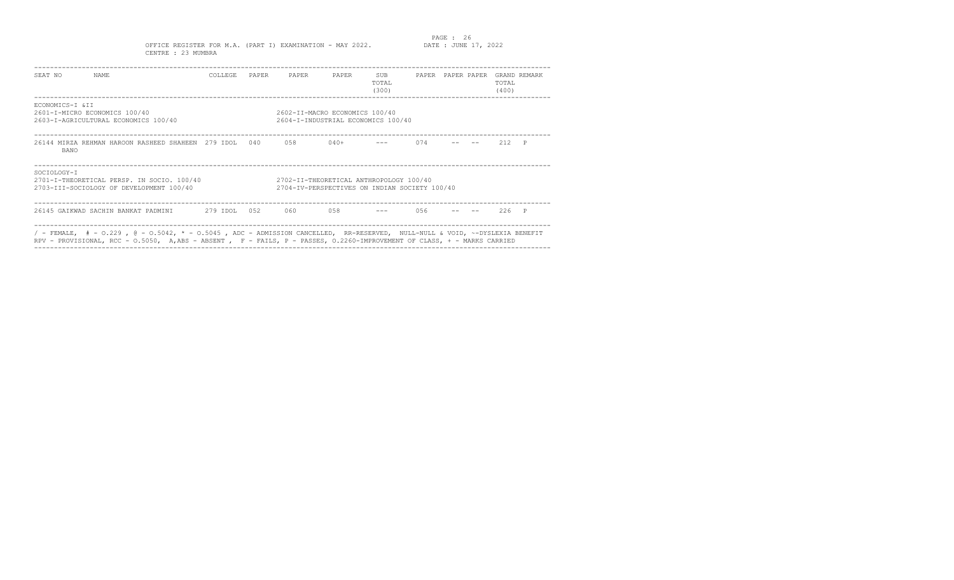PAGE : 26<br>DATE : JUNE 17, 2022

OFFICE REGISTER FOR M.A. (PART I) EXAMINATION - MAY 2022. CENTRE : 23 MUMBRA

| SEAT NO                                                                                                                                                                                                                                                        | NAME.                                                                                  | COLLEGE      | PAPER | PAPER                                                                                    | PAPER  | SUB<br>TOTAL<br>(300) |     | PAPER PAPER PAPER |  | TOTAL<br>(400) | GRAND REMARK |
|----------------------------------------------------------------------------------------------------------------------------------------------------------------------------------------------------------------------------------------------------------------|----------------------------------------------------------------------------------------|--------------|-------|------------------------------------------------------------------------------------------|--------|-----------------------|-----|-------------------|--|----------------|--------------|
| ECONOMICS-I & TT<br>2601-I-MICRO ECONOMICS 100/40<br>2602-II-MACRO ECONOMICS 100/40<br>2603-I-AGRICULTURAL ECONOMICS 100/40<br>2604-I-INDUSTRIAL ECONOMICS 100/40                                                                                              |                                                                                        |              |       |                                                                                          |        |                       |     |                   |  |                |              |
| <b>BANO</b>                                                                                                                                                                                                                                                    | 26144 MIRZA REHMAN HAROON RASHEED SHAHEEN 279 IDOL                                     |              | 040   | 0.58                                                                                     | $040+$ |                       | 074 |                   |  | 212            | $\mathsf{P}$ |
| SOCTOLOGY-T                                                                                                                                                                                                                                                    | 2701-I-THEORETICAL PERSP. IN SOCIO. 100/40<br>2703-III-SOCIOLOGY OF DEVELOPMENT 100/40 |              |       | 2702-II-THEORETICAL ANTHROPOLOGY 100/40<br>2704-IV-PERSPECTIVES ON INDIAN SOCIETY 100/40 |        |                       |     |                   |  |                |              |
|                                                                                                                                                                                                                                                                | 26145 GAIKWAD SACHIN BANKAT PADMINI                                                    | 279 IDOL 052 |       | 060                                                                                      | 0.58   |                       | 056 |                   |  | 226            |              |
| / - FEMALE, $# - 0.229$ , $@ - 0.5042$ , $* - 0.5045$ , ADC - ADMISSION CANCELLED, RR-RESERVED, NULL-NULL & VOID, ~-DYSLEXIA BENEFIT<br>RPV - PROVISIONAL, RCC - 0.5050, A,ABS - ABSENT, F - FAILS, P - PASSES, 0.2260-IMPROVEMENT OF CLASS, + - MARKS CARRIED |                                                                                        |              |       |                                                                                          |        |                       |     |                   |  |                |              |

----------------------------------------------------------------------------------------------------------------------------------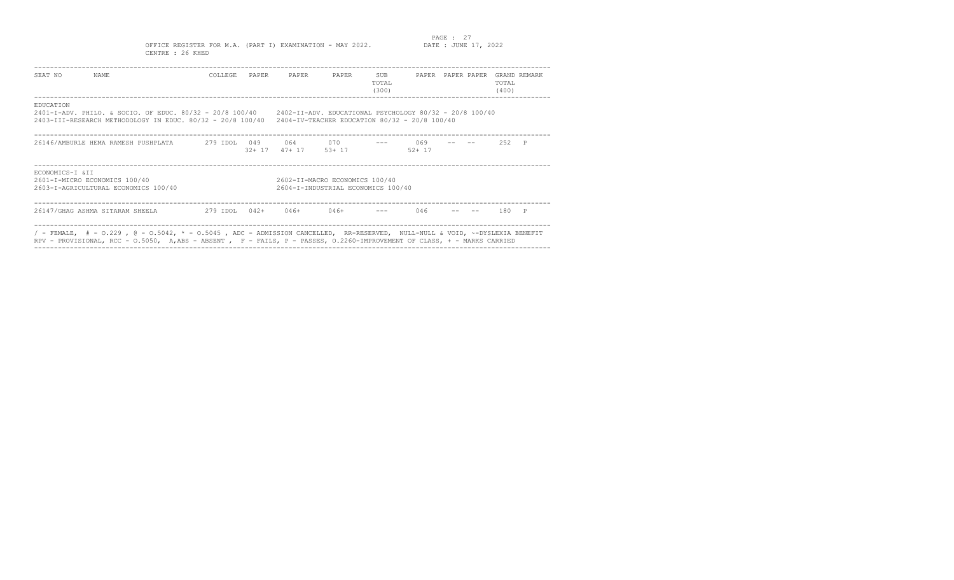PAGE : 27<br>DATE : JUNE 17, 2022 OFFICE REGISTER FOR M.A. (PART I) EXAMINATION - MAY 2022. CENTRE : 26 KHED

| SEAT NO                                                                                                                                                          | NAME                                                                                                                            | COLLEGE       | PAPER                                                                                                                                                                                                                        | PAPER            | PAPER           | SUB<br>TOTAL<br>(300) | PAPER            |  | PAPER PAPER | TOTAL<br>(400) | GRAND REMARK |
|------------------------------------------------------------------------------------------------------------------------------------------------------------------|---------------------------------------------------------------------------------------------------------------------------------|---------------|------------------------------------------------------------------------------------------------------------------------------------------------------------------------------------------------------------------------------|------------------|-----------------|-----------------------|------------------|--|-------------|----------------|--------------|
| EDUCATION                                                                                                                                                        |                                                                                                                                 |               | 2401-I-ADV, PHILO, & SOCIO, OF EDUC, 80/32 - 20/8 100/40 2402-II-ADV, EDUCATIONAL PSYCHOLOGY 80/32 - 20/8 100/40<br>2403-III-RESEARCH METHODOLOGY IN EDUC. 80/32 - 20/8 100/40 2404-IV-TEACHER EDUCATION 80/32 - 20/8 100/40 |                  |                 |                       |                  |  |             |                |              |
|                                                                                                                                                                  | 26146/AMBURLE HEMA RAMESH PUSHPLATA                                                                                             | 279 IDOL      | 049<br>$32 + 17$                                                                                                                                                                                                             | 064 0<br>$47+17$ | 0.70<br>$53+17$ |                       | 069<br>$52 + 17$ |  |             | 252            | $\mathsf{P}$ |
| ECONOMICS-I &II<br>2601-I-MICRO ECONOMICS 100/40<br>2602-II-MACRO ECONOMICS 100/40<br>2603-I-AGRICULTURAL ECONOMICS 100/40<br>2604-I-INDUSTRIAL ECONOMICS 100/40 |                                                                                                                                 |               |                                                                                                                                                                                                                              |                  |                 |                       |                  |  |             |                |              |
|                                                                                                                                                                  | 26147/GHAG ASHMA SITARAM SHEELA                                                                                                 | 279 IDOL 042+ |                                                                                                                                                                                                                              | $046+$           | 046+            |                       | 046              |  |             | 180            |              |
|                                                                                                                                                                  | / - FEMALE, $#$ - 0.229 , @ - 0.5042, * - 0.5045 , ADC - ADMISSION CANCELLED, RR-RESERVED, NULL-NULL & VOID, ~-DYSLEXIA BENEFIT |               |                                                                                                                                                                                                                              |                  |                 |                       |                  |  |             |                |              |

RPV - PROVISIONAL, RCC - O.5050, A,ABS - ABSENT , F - FAILS, P - PASSES, O.2260-IMPROVEMENT OF CLASS, + - MARKS CARRIED

----------------------------------------------------------------------------------------------------------------------------------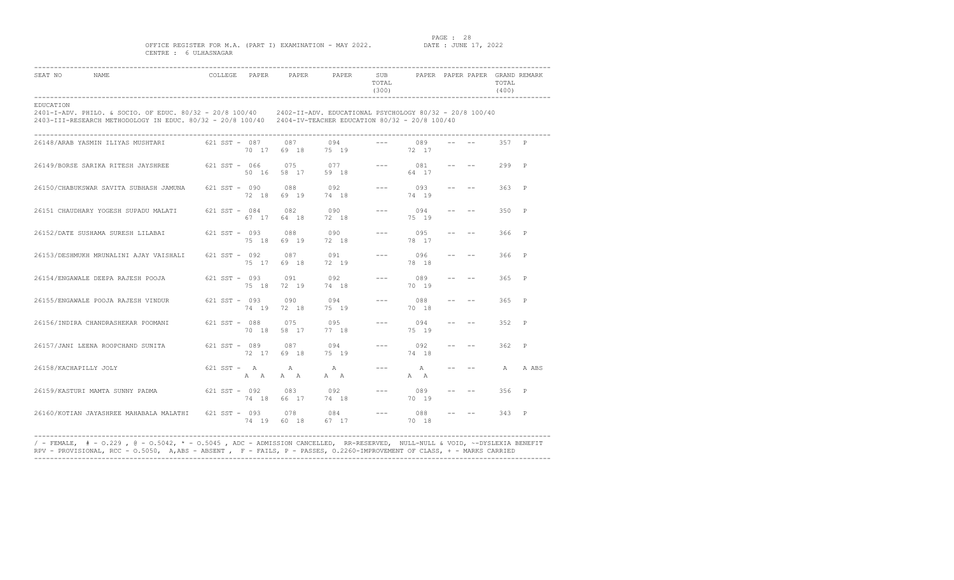### PAGE : 28<br>DATE : JUNE 17, 2022

### OFFICE REGISTER FOR M.A. (PART I) EXAMINATION - MAY 2022. CENTRE : 6 ULHASNAGAR

| SEAT NO<br>NAME                                                                                                                                                                                                                           |  |                                | COLLEGE PAPER PAPER PAPER SUB PAPER PAPER PAPER GRAND REMARK | TOTAL<br>(300)                                                                                                                                                                                                                                                                                                                                                                                                                                                             |                    |                                   | TOTAL<br>(400) |         |
|-------------------------------------------------------------------------------------------------------------------------------------------------------------------------------------------------------------------------------------------|--|--------------------------------|--------------------------------------------------------------|----------------------------------------------------------------------------------------------------------------------------------------------------------------------------------------------------------------------------------------------------------------------------------------------------------------------------------------------------------------------------------------------------------------------------------------------------------------------------|--------------------|-----------------------------------|----------------|---------|
| EDUCATION<br>2401-I-ADV. PHILO. & SOCIO. OF EDUC. 80/32 - 20/8 100/40 2402-II-ADV. EDUCATIONAL PSYCHOLOGY 80/32 - 20/8 100/40<br>2403-III-RESEARCH METHODOLOGY IN EDUC. 80/32 - 20/8 100/40 2404-IV-TEACHER EDUCATION 80/32 - 20/8 100/40 |  |                                |                                                              |                                                                                                                                                                                                                                                                                                                                                                                                                                                                            |                    |                                   |                |         |
| 26148/ARAB YASMIN ILIYAS MUSHTARI 621 SST - 087 087 094                                                                                                                                                                                   |  |                                | 70 17 69 18 75 19                                            | $--- 089$                                                                                                                                                                                                                                                                                                                                                                                                                                                                  | 72 17              |                                   | 357 P          |         |
| 26149/BORSE SARIKA RITESH JAYSHREE 621 SST - 066 075 077                                                                                                                                                                                  |  | 50 16 58 17                    | 59 18                                                        |                                                                                                                                                                                                                                                                                                                                                                                                                                                                            | $--- 081$<br>64 17 |                                   | $299$ P        |         |
| 26150/CHABUKSWAR SAVITA SUBHASH JAMUNA 621 SST - 090 088 092                                                                                                                                                                              |  |                                | 72 18 69 19 74 18                                            |                                                                                                                                                                                                                                                                                                                                                                                                                                                                            | $--- 093$<br>74 19 | where the property of the         | 363 P          |         |
| 26151 CHAUDHARY YOGESH SUPADU MALATI 621 SST - 084                                                                                                                                                                                        |  | 67 17 64 18 72 18              | 082 090                                                      |                                                                                                                                                                                                                                                                                                                                                                                                                                                                            | $--- 094$<br>75 19 |                                   | $350$ P        |         |
| 26152/DATE SUSHAMA SURESH LILABAI 621 SST - 093 088                                                                                                                                                                                       |  | 75 18 69 19                    | 090<br>72 18                                                 | $\frac{1}{2} \left( \frac{1}{2} \right) \left( \frac{1}{2} \right) \left( \frac{1}{2} \right) \left( \frac{1}{2} \right) \left( \frac{1}{2} \right) \left( \frac{1}{2} \right) \left( \frac{1}{2} \right) \left( \frac{1}{2} \right) \left( \frac{1}{2} \right) \left( \frac{1}{2} \right) \left( \frac{1}{2} \right) \left( \frac{1}{2} \right) \left( \frac{1}{2} \right) \left( \frac{1}{2} \right) \left( \frac{1}{2} \right) \left( \frac{1}{2} \right) \left( \frac$ | 095<br>78 17       |                                   | 366 P          |         |
| 26153/DESHMUKH MRUNALINI AJAY VAISHALI 621 SST - 092 087 091                                                                                                                                                                              |  |                                | 75 17 69 18 72 19                                            |                                                                                                                                                                                                                                                                                                                                                                                                                                                                            | $--- 096$<br>78 18 |                                   | 366 P          |         |
| 26154/ENGAWALE DEEPA RAJESH POOJA 621 SST - 093 091 092 092                                                                                                                                                                               |  |                                | 75 18 72 19 74 18                                            |                                                                                                                                                                                                                                                                                                                                                                                                                                                                            | $--- 089$<br>70 19 |                                   | 365 P          |         |
| 26155/ENGAWALE POOJA RAJESH VINDUR 621 SST - 093 090 094                                                                                                                                                                                  |  | 74 19 72 18                    | 75 19                                                        | $\frac{1}{2} \frac{1}{2} \frac{1}{2} \frac{1}{2} \frac{1}{2} \frac{1}{2} \frac{1}{2} \frac{1}{2} \frac{1}{2} \frac{1}{2} \frac{1}{2} \frac{1}{2} \frac{1}{2} \frac{1}{2} \frac{1}{2} \frac{1}{2} \frac{1}{2} \frac{1}{2} \frac{1}{2} \frac{1}{2} \frac{1}{2} \frac{1}{2} \frac{1}{2} \frac{1}{2} \frac{1}{2} \frac{1}{2} \frac{1}{2} \frac{1}{2} \frac{1}{2} \frac{1}{2} \frac{1}{2} \frac{$                                                                               | 088<br>70 18       | and the state of the state of the | 365 P          |         |
| 26156/INDIRA CHANDRASHEKAR POOMANI 621 SST - 088 075 095                                                                                                                                                                                  |  |                                | 70 18 58 17 77 18                                            | $\frac{1}{2} \frac{1}{2} \frac{1}{2} \frac{1}{2} \frac{1}{2} \frac{1}{2} \frac{1}{2} \frac{1}{2} \frac{1}{2} \frac{1}{2} \frac{1}{2} \frac{1}{2} \frac{1}{2} \frac{1}{2} \frac{1}{2} \frac{1}{2} \frac{1}{2} \frac{1}{2} \frac{1}{2} \frac{1}{2} \frac{1}{2} \frac{1}{2} \frac{1}{2} \frac{1}{2} \frac{1}{2} \frac{1}{2} \frac{1}{2} \frac{1}{2} \frac{1}{2} \frac{1}{2} \frac{1}{2} \frac{$                                                                               | 094<br>75 19       | and the state of the              | 352 P          |         |
| 26157/JANI LEENA ROOPCHAND SUNITA 621 SST - 089 087 094                                                                                                                                                                                   |  | 72 17 69 18 75 19              |                                                              |                                                                                                                                                                                                                                                                                                                                                                                                                                                                            | $--- 092$<br>74 18 | where the property of the         | 362 P          |         |
| 26158/KACHAPILLY JOLY                                                                                                                                                                                                                     |  | $621$ SST - A A<br>A A A A A A | $\mathbb A$                                                  |                                                                                                                                                                                                                                                                                                                                                                                                                                                                            | $--- A$<br>A A     |                                   |                | A A ABS |
| 26159/KASTURI MAMTA SUNNY PADMA 621 SST - 092 083 092                                                                                                                                                                                     |  |                                | 74 18 66 17 74 18                                            |                                                                                                                                                                                                                                                                                                                                                                                                                                                                            | $--- 089$<br>70 19 | www.communication.com             | 356 P          |         |
| 26160/KOTIAN JAYASHREE MAHABALA MALATHI 621 SST - 093 078 084                                                                                                                                                                             |  |                                | 74 19 60 18 67 17                                            |                                                                                                                                                                                                                                                                                                                                                                                                                                                                            | $--- 088$<br>70 18 |                                   | $343$ P        |         |

---------------------------------------------------------------------------------------------------------------------------------- / - FEMALE, # - O.229 , @ - O.5042, \* - O.5045 , ADC - ADMISSION CANCELLED, RR-RESERVED, NULL-NULL & VOID, ~-DYSLEXIA BENEFIT RPV - PROVISIONAL, RCC - O.5050, A,ABS - ABSENT , F - FAILS, P - PASSES, O.2260-IMPROVEMENT OF CLASS, + - MARKS CARRIED ----------------------------------------------------------------------------------------------------------------------------------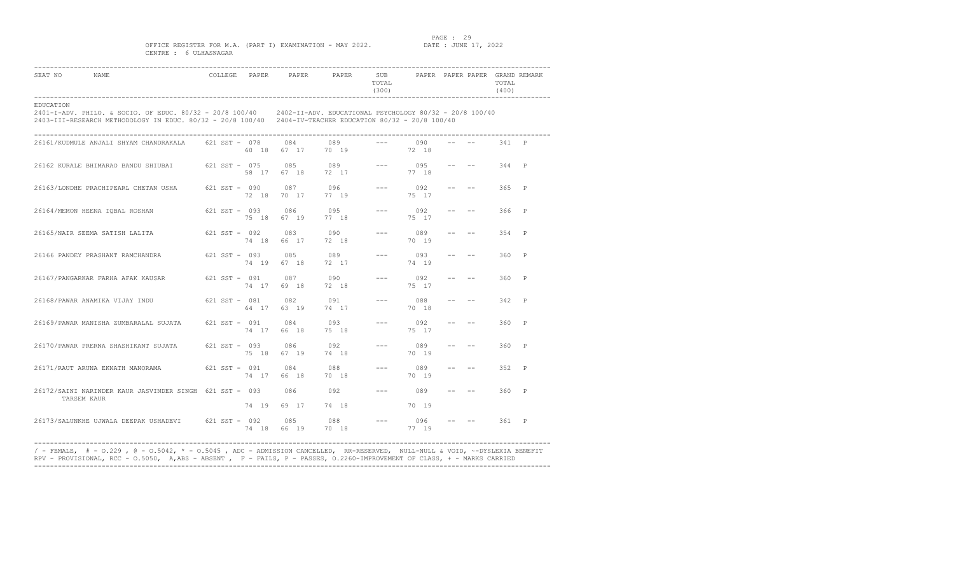### PAGE : 29<br>DATE : JUNE 17, 2022

### OFFICE REGISTER FOR M.A. (PART I) EXAMINATION - MAY 2022. CENTRE : 6 ULHASNAGAR

| SEAT NO<br><b>NAME</b>                                                                                                                                                                                                                    |  |                   | COLLEGE PAPER PAPER PAPER SUB PAPER PAPER PAPER GRAND REMARK | TOTAL<br>(300) |                             |                                                                                                                                                                                                                                                                                                                                                                                              | TOTAL<br>(400) |  |
|-------------------------------------------------------------------------------------------------------------------------------------------------------------------------------------------------------------------------------------------|--|-------------------|--------------------------------------------------------------|----------------|-----------------------------|----------------------------------------------------------------------------------------------------------------------------------------------------------------------------------------------------------------------------------------------------------------------------------------------------------------------------------------------------------------------------------------------|----------------|--|
| EDUCATION<br>2401-I-ADV. PHILO. & SOCIO. OF EDUC. 80/32 - 20/8 100/40 2402-II-ADV. EDUCATIONAL PSYCHOLOGY 80/32 - 20/8 100/40<br>2403-III-RESEARCH METHODOLOGY IN EDUC. 80/32 - 20/8 100/40 2404-IV-TEACHER EDUCATION 80/32 - 20/8 100/40 |  |                   |                                                              |                |                             |                                                                                                                                                                                                                                                                                                                                                                                              |                |  |
| 26161/KUDMULE ANJALI SHYAM CHANDRAKALA 621 SST - 078 084 089 --- 090                                                                                                                                                                      |  |                   | 60 18    67    17    70    19    72    18                    |                |                             |                                                                                                                                                                                                                                                                                                                                                                                              | 341 P          |  |
| 26162 KURALE BHIMARAO BANDU SHIUBAI 621 SST - 075 085 089 --- 095                                                                                                                                                                         |  | 58 17 67 18 72 17 |                                                              |                | 77 18                       | and the second control of the                                                                                                                                                                                                                                                                                                                                                                | 344 P          |  |
| 26163/LONDHE PRACHIPEARL CHETAN USHA 621 SST - 090 087 096                                                                                                                                                                                |  |                   | 72 18 70 17 77 19                                            |                | $--- 092$<br>75 17          | the company of the company of                                                                                                                                                                                                                                                                                                                                                                | $365$ P        |  |
| 26164/MEMON HEENA IQBAL ROSHAN 621 SST - 093 086 095                                                                                                                                                                                      |  | 75 18 67 19 77 18 |                                                              |                | $--- 092$<br>75 17          | where the property of the                                                                                                                                                                                                                                                                                                                                                                    | 366 P          |  |
| 26165/NAIR SEEMA SATISH LALITA 621 SST - 092 083 090<br>74 18 66 17 72 18                                                                                                                                                                 |  |                   |                                                              |                | $--- 089$<br>70 19          | $\frac{1}{2} \frac{1}{2} \frac{1}{2} \left( \frac{1}{2} \frac{1}{2} \frac{1}{2} \frac{1}{2} \frac{1}{2} \frac{1}{2} \frac{1}{2} \frac{1}{2} \frac{1}{2} \frac{1}{2} \frac{1}{2} \frac{1}{2} \frac{1}{2} \frac{1}{2} \frac{1}{2} \frac{1}{2} \frac{1}{2} \frac{1}{2} \frac{1}{2} \frac{1}{2} \frac{1}{2} \frac{1}{2} \frac{1}{2} \frac{1}{2} \frac{1}{2} \frac{1}{2} \frac{1}{2} \frac{1}{2}$ | 354 P          |  |
| 26166 PANDEY PRASHANT RAMCHANDRA 621 SST - 093 085 089                                                                                                                                                                                    |  |                   | 74 19 67 18 72 17                                            |                | $--- 093$<br>74 19          | $\frac{1}{2} \frac{1}{2} \frac{1}{2} \left( \frac{1}{2} \frac{1}{2} \frac{1}{2} \frac{1}{2} \frac{1}{2} \frac{1}{2} \frac{1}{2} \frac{1}{2} \frac{1}{2} \frac{1}{2} \frac{1}{2} \frac{1}{2} \frac{1}{2} \frac{1}{2} \frac{1}{2} \frac{1}{2} \frac{1}{2} \frac{1}{2} \frac{1}{2} \frac{1}{2} \frac{1}{2} \frac{1}{2} \frac{1}{2} \frac{1}{2} \frac{1}{2} \frac{1}{2} \frac{1}{2} \frac{1}{2}$ | 360 P          |  |
| 26167/PANGARKAR FARHA AFAK KAUSAR 621 SST - 091 087 090                                                                                                                                                                                   |  | 74 17 69 18       | 72 18                                                        |                | $--- 092$<br>75 17          | and the state of the state of the                                                                                                                                                                                                                                                                                                                                                            | $360$ P        |  |
| 26168/PAWAR ANAMIKA VIJAY INDU 621 SST - 081 082 091                                                                                                                                                                                      |  |                   | 64 17 63 19 74 17                                            |                | $--- 088$<br>70 18          | and the state of the state of the                                                                                                                                                                                                                                                                                                                                                            | 342 P          |  |
| 26169/PAWAR MANISHA ZUMBARALAL SUJATA 621 SST - 091 084 093                                                                                                                                                                               |  | 74 17 66 18 75 18 |                                                              |                | $--- 092$<br>75 17          |                                                                                                                                                                                                                                                                                                                                                                                              | $360$ P        |  |
| 26170/PAWAR PRERNA SHASHIKANT SUJATA 621 SST - 093 086 092                                                                                                                                                                                |  |                   | 75 18 67 19 74 18                                            |                | $--- 089$<br>70 19          |                                                                                                                                                                                                                                                                                                                                                                                              | 360 P          |  |
| 26171/RAUT ARUNA EKNATH MANORAMA 621 SST - 091                                                                                                                                                                                            |  | 74 17 66 18 70 18 | 084 088                                                      |                | $--- 089$<br>70 19          | $\begin{array}{lllll} -\frac{1}{2} & -\frac{1}{2} & -\frac{1}{2} & -\frac{1}{2} & -\frac{1}{2} & -\frac{1}{2} & -\frac{1}{2} & -\frac{1}{2} & -\frac{1}{2} & -\frac{1}{2} & -\frac{1}{2} & -\frac{1}{2} & -\frac{1}{2} & -\frac{1}{2} & -\frac{1}{2} & -\frac{1}{2} & -\frac{1}{2} & -\frac{1}{2} & -\frac{1}{2} & -\frac{1}{2} & -\frac{1}{2} & -\frac{1}{2} & -\frac{1}{2} & -\frac{$      | 352 P          |  |
| 26172/SAINI NARINDER KAUR JASVINDER SINGH 621 SST - 093 086 092<br>TARSEM KAUR                                                                                                                                                            |  |                   |                                                              |                | $--- 089$                   | $- --$ 360 P                                                                                                                                                                                                                                                                                                                                                                                 |                |  |
| 26173/SALUNKHE UJWALA DEEPAK USHADEVI 621 SST - 092 085 088<br>74 18 66 19 70 18                                                                                                                                                          |  | 74 19 69 17 74 18 |                                                              |                | 70 19<br>$--- 096$<br>77 19 | $--- 361 P$                                                                                                                                                                                                                                                                                                                                                                                  |                |  |

---------------------------------------------------------------------------------------------------------------------------------- / - FEMALE, # - O.229 , @ - O.5042, \* - O.5045 , ADC - ADMISSION CANCELLED, RR-RESERVED, NULL-NULL & VOID, ~-DYSLEXIA BENEFIT RPV - PROVISIONAL, RCC - O.5050, A,ABS - ABSENT , F - FAILS, P - PASSES, O.2260-IMPROVEMENT OF CLASS, + - MARKS CARRIED ----------------------------------------------------------------------------------------------------------------------------------